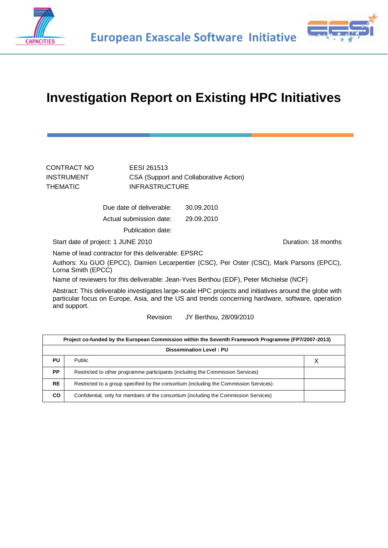



## **Investigation Report on Existing HPC Initiatives**

| CSA (Support and Collaborative Action) |
|----------------------------------------|
|                                        |
|                                        |
|                                        |

Due date of deliverable: 30.09.2010 Actual submission date: 29.09.2010

Publication date:

Start date of project: 1 JUNE 2010 Contract the Duration: 18 months

Name of lead contractor for this deliverable: EPSRC

Authors: Xu GUO (EPCC), Damien Lecarpentier (CSC), Per Oster (CSC), Mark Parsons (EPCC), Lorna Smith (EPCC)

Name of reviewers for this deliverable: Jean-Yves Berthou (EDF), Peter Michielse (NCF)

Abstract: This deliverable investigates large-scale HPC projects and initiatives around the globe with particular focus on Europe, Asia, and the US and trends concerning hardware, software, operation and support.

Revision JY Berthou, 28/09/2010

| Project co-funded by the European Commission within the Seventh Framework Programme (FP7/2007-2013) |                                                                                       |  |  |
|-----------------------------------------------------------------------------------------------------|---------------------------------------------------------------------------------------|--|--|
|                                                                                                     | <b>Dissemination Level: PU</b>                                                        |  |  |
| PU                                                                                                  | <b>Public</b>                                                                         |  |  |
| PP                                                                                                  | Restricted to other programme participants (including the Commission Services)        |  |  |
| <b>RE</b>                                                                                           | Restricted to a group specified by the consortium (including the Commission Services) |  |  |
| CO.                                                                                                 | Confidential, only for members of the consortium (including the Commission Services)  |  |  |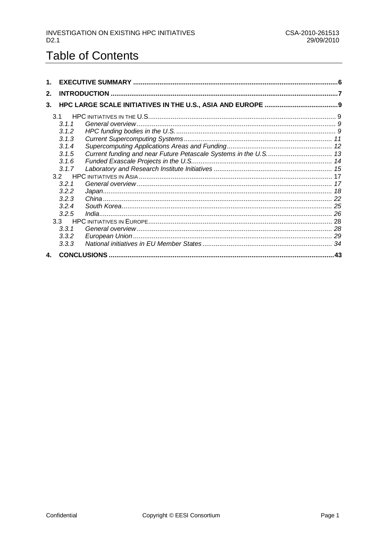## **Table of Contents**

| 1. |       |     |
|----|-------|-----|
| 2. |       |     |
| 3. |       |     |
|    |       |     |
|    | 3.1.1 |     |
|    | 3.1.2 |     |
|    | 3.1.3 |     |
|    | 3.1.4 |     |
|    | 3.1.5 |     |
|    | 3.1.6 |     |
|    | 3.1.7 |     |
|    |       |     |
|    | 3.2.1 |     |
|    | 3.2.2 |     |
|    | 3.2.3 |     |
|    | 3.2.4 |     |
|    | 3.2.5 |     |
|    | 3.3   |     |
|    | 3.3.1 |     |
|    | 3.3.2 |     |
|    | 3.3.3 |     |
| 4. |       | .43 |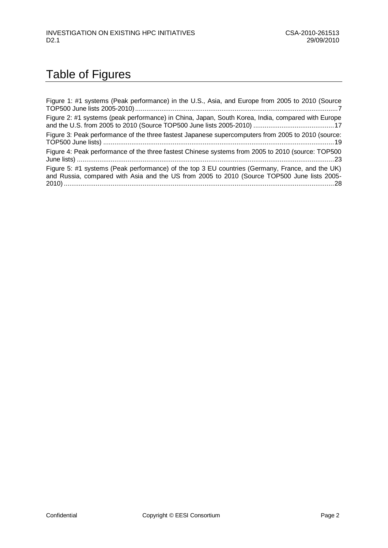## Table of Figures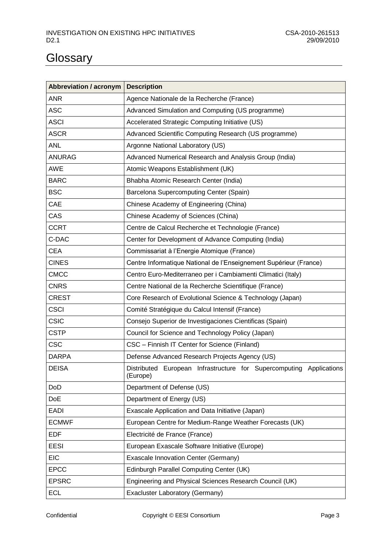# **Glossary**

| Abbreviation / acronym | <b>Description</b>                                                              |  |  |
|------------------------|---------------------------------------------------------------------------------|--|--|
| <b>ANR</b>             | Agence Nationale de la Recherche (France)                                       |  |  |
| <b>ASC</b>             | Advanced Simulation and Computing (US programme)                                |  |  |
| <b>ASCI</b>            | Accelerated Strategic Computing Initiative (US)                                 |  |  |
| <b>ASCR</b>            | Advanced Scientific Computing Research (US programme)                           |  |  |
| <b>ANL</b>             | Argonne National Laboratory (US)                                                |  |  |
| <b>ANURAG</b>          | Advanced Numerical Research and Analysis Group (India)                          |  |  |
| <b>AWE</b>             | Atomic Weapons Establishment (UK)                                               |  |  |
| <b>BARC</b>            | Bhabha Atomic Research Center (India)                                           |  |  |
| <b>BSC</b>             | Barcelona Supercomputing Center (Spain)                                         |  |  |
| CAE                    | Chinese Academy of Engineering (China)                                          |  |  |
| CAS                    | Chinese Academy of Sciences (China)                                             |  |  |
| <b>CCRT</b>            | Centre de Calcul Recherche et Technologie (France)                              |  |  |
| C-DAC                  | Center for Development of Advance Computing (India)                             |  |  |
| <b>CEA</b>             | Commissariat à l'Energie Atomique (France)                                      |  |  |
| <b>CINES</b>           | Centre Informatique National de l'Enseignement Supérieur (France)               |  |  |
| <b>CMCC</b>            | Centro Euro-Mediterraneo per i Cambiamenti Climatici (Italy)                    |  |  |
| <b>CNRS</b>            | Centre National de la Recherche Scientifique (France)                           |  |  |
| <b>CREST</b>           | Core Research of Evolutional Science & Technology (Japan)                       |  |  |
| <b>CSCI</b>            | Comité Stratégique du Calcul Intensif (France)                                  |  |  |
| <b>CSIC</b>            | Consejo Superior de Investigaciones Cientificas (Spain)                         |  |  |
| <b>CSTP</b>            | Council for Science and Technology Policy (Japan)                               |  |  |
| <b>CSC</b>             | CSC - Finnish IT Center for Science (Finland)                                   |  |  |
| <b>DARPA</b>           | Defense Advanced Research Projects Agency (US)                                  |  |  |
| <b>DEISA</b>           | Distributed European Infrastructure for Supercomputing Applications<br>(Europe) |  |  |
| DoD                    | Department of Defense (US)                                                      |  |  |
| <b>DoE</b>             | Department of Energy (US)                                                       |  |  |
| <b>EADI</b>            | Exascale Application and Data Initiative (Japan)                                |  |  |
| <b>ECMWF</b>           | European Centre for Medium-Range Weather Forecasts (UK)                         |  |  |
| <b>EDF</b>             | Electricité de France (France)                                                  |  |  |
| <b>EESI</b>            | European Exascale Software Initiative (Europe)                                  |  |  |
| <b>EIC</b>             | Exascale Innovation Center (Germany)                                            |  |  |
| <b>EPCC</b>            | Edinburgh Parallel Computing Center (UK)                                        |  |  |
| <b>EPSRC</b>           | Engineering and Physical Sciences Research Council (UK)                         |  |  |
| <b>ECL</b>             | Exacluster Laboratory (Germany)                                                 |  |  |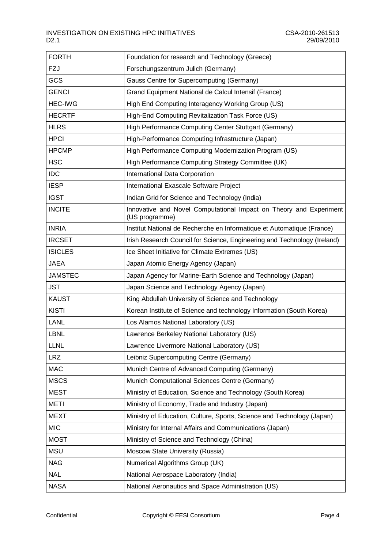| <b>FORTH</b>   | Foundation for research and Technology (Greece)                                      |
|----------------|--------------------------------------------------------------------------------------|
| FZJ            | Forschungszentrum Julich (Germany)                                                   |
| GCS            | Gauss Centre for Supercomputing (Germany)                                            |
| <b>GENCI</b>   | Grand Equipment National de Calcul Intensif (France)                                 |
| <b>HEC-IWG</b> | High End Computing Interagency Working Group (US)                                    |
| <b>HECRTF</b>  | High-End Computing Revitalization Task Force (US)                                    |
| <b>HLRS</b>    | High Performance Computing Center Stuttgart (Germany)                                |
| <b>HPCI</b>    | High-Performance Computing Infrastructure (Japan)                                    |
| <b>HPCMP</b>   | High Performance Computing Modernization Program (US)                                |
| <b>HSC</b>     | High Performance Computing Strategy Committee (UK)                                   |
| <b>IDC</b>     | International Data Corporation                                                       |
| <b>IESP</b>    | International Exascale Software Project                                              |
| <b>IGST</b>    | Indian Grid for Science and Technology (India)                                       |
| <b>INCITE</b>  | Innovative and Novel Computational Impact on Theory and Experiment<br>(US programme) |
| <b>INRIA</b>   | Institut National de Recherche en Informatique et Automatique (France)               |
| <b>IRCSET</b>  | Irish Research Council for Science, Engineering and Technology (Ireland)             |
| <b>ISICLES</b> | Ice Sheet Initiative for Climate Extremes (US)                                       |
| <b>JAEA</b>    | Japan Atomic Energy Agency (Japan)                                                   |
| <b>JAMSTEC</b> | Japan Agency for Marine-Earth Science and Technology (Japan)                         |
| <b>JST</b>     | Japan Science and Technology Agency (Japan)                                          |
| <b>KAUST</b>   | King Abdullah University of Science and Technology                                   |
| <b>KISTI</b>   | Korean Institute of Science and technology Information (South Korea)                 |
| <b>LANL</b>    | Los Alamos National Laboratory (US)                                                  |
| <b>LBNL</b>    | Lawrence Berkeley National Laboratory (US)                                           |
| <b>LLNL</b>    | Lawrence Livermore National Laboratory (US)                                          |
| <b>LRZ</b>     | Leibniz Supercomputing Centre (Germany)                                              |
| <b>MAC</b>     | Munich Centre of Advanced Computing (Germany)                                        |
| <b>MSCS</b>    | Munich Computational Sciences Centre (Germany)                                       |
| <b>MEST</b>    | Ministry of Education, Science and Technology (South Korea)                          |
| <b>METI</b>    | Ministry of Economy, Trade and Industry (Japan)                                      |
| <b>MEXT</b>    | Ministry of Education, Culture, Sports, Science and Technology (Japan)               |
| <b>MIC</b>     | Ministry for Internal Affairs and Communications (Japan)                             |
| <b>MOST</b>    | Ministry of Science and Technology (China)                                           |
| <b>MSU</b>     | Moscow State University (Russia)                                                     |
| <b>NAG</b>     | Numerical Algorithms Group (UK)                                                      |
| <b>NAL</b>     | National Aerospace Laboratory (India)                                                |
| <b>NASA</b>    | National Aeronautics and Space Administration (US)                                   |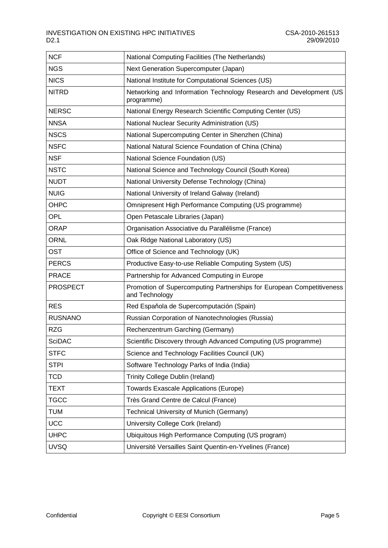| <b>NCF</b>      | National Computing Facilities (The Netherlands)                                         |  |
|-----------------|-----------------------------------------------------------------------------------------|--|
| <b>NGS</b>      | Next Generation Supercomputer (Japan)                                                   |  |
| <b>NICS</b>     | National Institute for Computational Sciences (US)                                      |  |
| <b>NITRD</b>    | Networking and Information Technology Research and Development (US<br>programme)        |  |
| <b>NERSC</b>    | National Energy Research Scientific Computing Center (US)                               |  |
| <b>NNSA</b>     | National Nuclear Security Administration (US)                                           |  |
| <b>NSCS</b>     | National Supercomputing Center in Shenzhen (China)                                      |  |
| <b>NSFC</b>     | National Natural Science Foundation of China (China)                                    |  |
| <b>NSF</b>      | National Science Foundation (US)                                                        |  |
| <b>NSTC</b>     | National Science and Technology Council (South Korea)                                   |  |
| <b>NUDT</b>     | National University Defense Technology (China)                                          |  |
| <b>NUIG</b>     | National University of Ireland Galway (Ireland)                                         |  |
| OHPC            | Omnipresent High Performance Computing (US programme)                                   |  |
| <b>OPL</b>      | Open Petascale Libraries (Japan)                                                        |  |
| <b>ORAP</b>     | Organisation Associative du Parallélisme (France)                                       |  |
| <b>ORNL</b>     | Oak Ridge National Laboratory (US)                                                      |  |
| <b>OST</b>      | Office of Science and Technology (UK)                                                   |  |
| <b>PERCS</b>    | Productive Easy-to-use Reliable Computing System (US)                                   |  |
| <b>PRACE</b>    | Partnership for Advanced Computing in Europe                                            |  |
| <b>PROSPECT</b> | Promotion of Supercomputing Partnerships for European Competitiveness<br>and Technology |  |
| <b>RES</b>      | Red Española de Supercomputación (Spain)                                                |  |
| <b>RUSNANO</b>  | Russian Corporation of Nanotechnologies (Russia)                                        |  |
| <b>RZG</b>      | Rechenzentrum Garching (Germany)                                                        |  |
| <b>SciDAC</b>   | Scientific Discovery through Advanced Computing (US programme)                          |  |
| <b>STFC</b>     | Science and Technology Facilities Council (UK)                                          |  |
| <b>STPI</b>     | Software Technology Parks of India (India)                                              |  |
| <b>TCD</b>      | Trinity College Dublin (Ireland)                                                        |  |
| <b>TEXT</b>     | <b>Towards Exascale Applications (Europe)</b>                                           |  |
| <b>TGCC</b>     | Très Grand Centre de Calcul (France)                                                    |  |
| <b>TUM</b>      | Technical University of Munich (Germany)                                                |  |
| <b>UCC</b>      | University College Cork (Ireland)                                                       |  |
| <b>UHPC</b>     | Ubiquitous High Performance Computing (US program)                                      |  |
| <b>UVSQ</b>     | Université Versailles Saint Quentin-en-Yvelines (France)                                |  |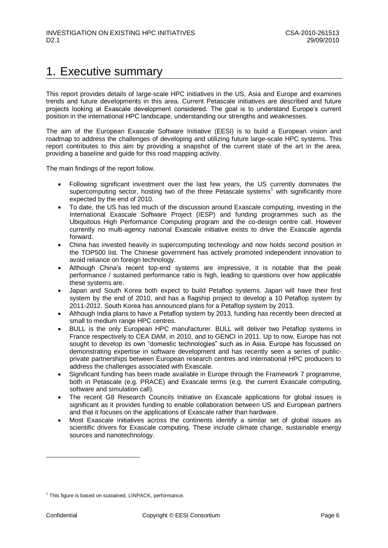## <span id="page-6-0"></span>1. Executive summary

This report provides details of large-scale HPC initiatives in the US, Asia and Europe and examines trends and future developments in this area. Current Petascale initiatives are described and future projects looking at Exascale development considered. The goal is to understand Europe's current position in the international HPC landscape, understanding our strengths and weaknesses.

The aim of the European Exascale Software Initiative (EESI) is to build a European vision and roadmap to address the challenges of developing and utilizing future large-scale HPC systems. This report contributes to this aim by providing a snapshot of the current state of the art in the area, providing a baseline and guide for this road mapping activity.

The main findings of the report follow.

- Following significant investment over the last few years, the US currently dominates the supercomputing sector, hosting two of the three Petascale systems<sup>1</sup> with significantly more expected by the end of 2010.
- To date, the US has led much of the discussion around Exascale computing, investing in the International Exascale Software Project (IESP) and funding programmes such as the Ubiquitous High Performance Computing program and the co-design centre call. However currently no multi-agency national Exascale initiative exists to drive the Exascale agenda forward.
- China has invested heavily in supercomputing technology and now holds second position in the TOP500 list. The Chinese government has actively promoted independent innovation to avoid reliance on foreign technology.
- Although China"s recent top-end systems are impressive, it is notable that the peak performance / sustained performance ratio is high, leading to questions over how applicable these systems are.
- Japan and South Korea both expect to build Petaflop systems. Japan will have their first system by the end of 2010, and has a flagship project to develop a 10 Petaflop system by 2011-2012. South Korea has announced plans for a Petaflop system by 2013.
- Although India plans to have a Petaflop system by 2013, funding has recently been directed at small to medium range HPC centres.
- BULL is the only European HPC manufacturer. BULL will deliver two Petaflop systems in France respectively to CEA DAM, in 2010, and to GENCI in 2011. Up to now, Europe has not sought to develop its own "domestic technologies" such as in Asia. Europe has focussed on demonstrating expertise in software development and has recently seen a series of publicprivate partnerships between European research centres and international HPC producers to address the challenges associated with Exascale.
- Significant funding has been made available in Europe through the Framework 7 programme, both in Petascale (e.g. PRACE) and Exascale terms (e.g. the current Exascale computing, software and simulation call).
- The recent G8 Research Councils Initiative on Exascale applications for global issues is significant as it provides funding to enable collaboration between US and European partners and that it focuses on the applications of Exascale rather than hardware.
- Most Exascale initiatives across the continents identify a similar set of global issues as scientific drivers for Exascale computing. These include climate change, sustainable energy sources and nanotechnology.

<sup>&</sup>lt;sup>1</sup> This figure is based on sustained, LINPACK, performance.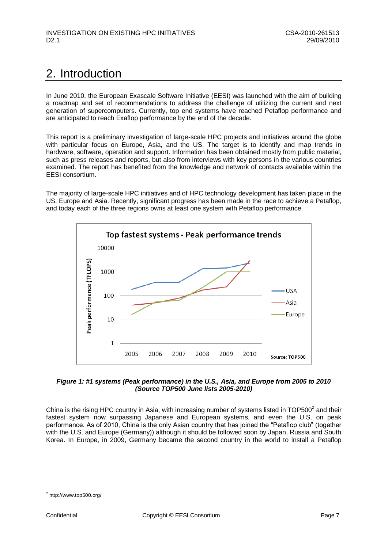## <span id="page-7-0"></span>2. Introduction

In June 2010, the European Exascale Software Initiative (EESI) was launched with the aim of building a roadmap and set of recommendations to address the challenge of utilizing the current and next generation of supercomputers. Currently, top end systems have reached Petaflop performance and are anticipated to reach Exaflop performance by the end of the decade.

This report is a preliminary investigation of large-scale HPC projects and initiatives around the globe with particular focus on Europe, Asia, and the US. The target is to identify and map trends in hardware, software, operation and support. Information has been obtained mostly from public material, such as press releases and reports, but also from interviews with key persons in the various countries examined. The report has benefited from the knowledge and network of contacts available within the EESI consortium.

The majority of large-scale HPC initiatives and of HPC technology development has taken place in the US, Europe and Asia. Recently, significant progress has been made in the race to achieve a Petaflop, and today each of the three regions owns at least one system with Petaflop performance.



<span id="page-7-1"></span>

China is the rising HPC country in Asia, with increasing number of systems listed in  $\text{TOP500}^2$  and their fastest system now surpassing Japanese and European systems, and even the U.S. on peak performance. As of 2010, China is the only Asian country that has joined the "Petaflop club" (together with the U.S. and Europe (Germany)) although it should be followed soon by Japan, Russia and South Korea. In Europe, in 2009, Germany became the second country in the world to install a Petaflop

 $2$  <http://www.top500.org/>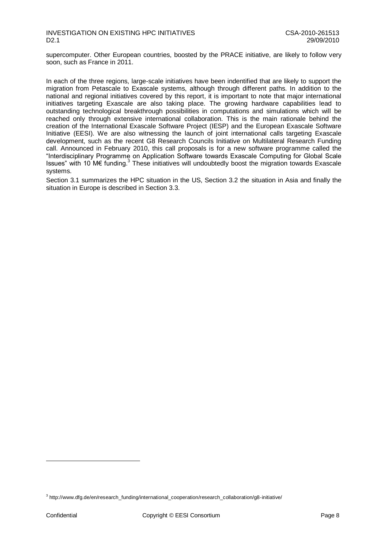supercomputer. Other European countries, boosted by the PRACE initiative, are likely to follow very soon, such as France in 2011.

In each of the three regions, large-scale initiatives have been indentified that are likely to support the migration from Petascale to Exascale systems, although through different paths. In addition to the national and regional initiatives covered by this report, it is important to note that major international initiatives targeting Exascale are also taking place. The growing hardware capabilities lead to outstanding technological breakthrough possibilities in computations and simulations which will be reached only through extensive international collaboration. This is the main rationale behind the creation of the International Exascale Software Project (IESP) and the European Exascale Software Initiative (EESI). We are also witnessing the launch of joint international calls targeting Exascale development, such as the recent G8 Research Councils Initiative on Multilateral Research Funding call. Announced in February 2010, this call proposals is for a new software programme called the "Interdisciplinary Programme on Application Software towards Exascale Computing for Global Scale Issues" with 10 M€ funding. $3$  These initiatives will undoubtedly boost the migration towards Exascale systems.

Section 3.1 summarizes the HPC situation in the US, Section 3.2 the situation in Asia and finally the situation in Europe is described in Section 3.3.

<sup>&</sup>lt;sup>3</sup> http://www.dfg.de/en/research\_funding/international\_cooperation/research\_collaboration/g8-initiative/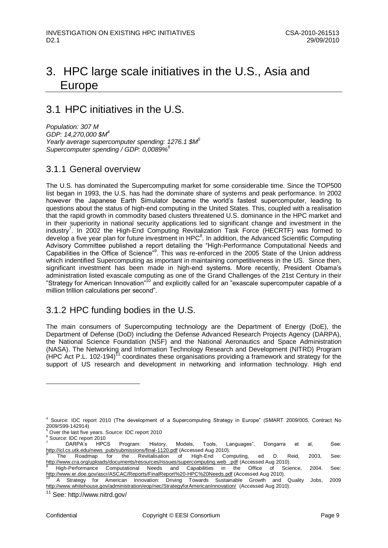## <span id="page-9-0"></span>3. HPC large scale initiatives in the U.S., Asia and Europe

## <span id="page-9-1"></span>3.1 HPC initiatives in the U.S.

*Population: 307 M GDP: 14,270,000 \$M<sup>4</sup> Yearly average supercomputer spending: 1276.1 \$M<sup>5</sup> Supercomputer spending / GDP: 0,0089%<sup>6</sup>*

### <span id="page-9-2"></span>3.1.1 General overview

The U.S. has dominated the Supercomputing market for some considerable time. Since the TOP500 list began in 1993, the U.S. has had the dominate share of systems and peak performance. In 2002 however the Japanese Earth Simulator became the world"s fastest supercomputer, leading to questions about the status of high-end computing in the United States. This, coupled with a realisation that the rapid growth in commodity based clusters threatened U.S. dominance in the HPC market and in their superiority in national security applications led to significant change and investment in the industry<sup>7</sup>. In 2002 the High-End Computing Revitalization Task Force (HECRTF) was formed to develop a five year plan for future investment in HPC $^8$ . In addition, the Advanced Scientific Computing Advisory Committee published a report detailing the "High-Performance Computational Needs and Capabilities in the Office of Science<sup>"9</sup>. This was re-enforced in the 2005 State of the Union address which indentified Supercomputing as important in maintaining competitiveness in the US. Since then, significant investment has been made in high-end systems. More recently, President Obama's administration listed exascale computing as one of the Grand Challenges of the 21st Century in their "Strategy for American Innovation"<sup>10</sup> and explicitly called for an "exascale supercomputer capable of a million trillion calculations per second".

### <span id="page-9-3"></span>3.1.2 HPC funding bodies in the U.S.

The main consumers of Supercomputing technology are the Department of Energy (DoE), the Department of Defense (DoD) including the Defense Advanced Research Projects Agency (DARPA), the National Science Foundation (NSF) and the National Aeronautics and Space Administration (NASA). The Networking and Information Technology Research and Development (NITRD) Program  $(HPC$  Act P.L. 102-194)<sup>11</sup> coordinates these organisations providing a framework and strategy for the support of US research and development in networking and information technology. High end

<sup>4</sup> Source: IDC report 2010 (The development of a Supercomputing Strategy in Europe" (SMART 2009/005, Contract No 2009/S99-142914)

<sup>5</sup> Over the last five years. Source: IDC report 2010

<sup>6</sup> Source: IDC report 2010

<sup>7</sup> DARPA's HPCS Program: History, Models, Tools, Languages", Dongarra et al, See: [http://icl.cs.utk.edu/news\\_pub/submissions/final-1120.pdf](http://icl.cs.utk.edu/news_pub/submissions/final-1120.pdf) (Accessed Aug 2010).<br>8 The Peadman for the Paritelianian of Uich Fad Cor

The Roadmap for the Revitalisation of High-End Computing, ed D. Reid, 2003, See: [http://www.cra.org/uploads/documents/resources/rissues/supercomputing.web\\_.pdf](http://www.cra.org/uploads/documents/resources/rissues/supercomputing.web_.pdf) (Accessed Aug 2010).

<sup>9</sup> High-Performance Computational Needs and Capabilities in the Office of Science, 2004. See: <http://www.er.doe.gov/ascr/ASCAC/Reports/FinalReport%20-HPC%20Needs.pdf> (Accessed Aug 2010).

<sup>10</sup> A Strategy for American Innovation: Driving Towards Sustainable Growth and Quality Jobs, 2009 <http://www.whitehouse.gov/administration/eop/nec/StrategyforAmericanInnovation/>(Accessed Aug 2010).

See: http://www.nitrd.gov/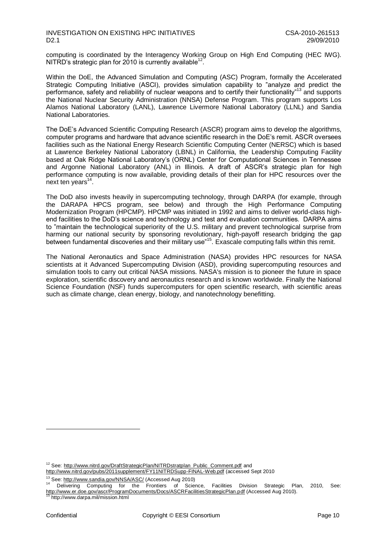computing is coordinated by the Interagency Working Group on High End Computing (HEC IWG). NITRD's strategic plan for 2010 is currently available<sup>12</sup>.

Within the DoE, the Advanced Simulation and Computing (ASC) Program, formally the Accelerated Strategic Computing Initiative (ASCI), provides simulation capability to "analyze and predict the performance, safety and reliability of nuclear weapons and to certify their functionality"<sup>13</sup> and supports the National Nuclear Security Administration (NNSA) Defense Program. This program supports Los Alamos National Laboratory (LANL), Lawrence Livermore National Laboratory (LLNL) and Sandia National Laboratories.

The DoE"s Advanced Scientific Computing Research (ASCR) program aims to develop the algorithms, computer programs and hardware that advance scientific research in the DoE"s remit. ASCR oversees facilities such as the National Energy Research Scientific Computing Center (NERSC) which is based at Lawrence Berkeley National Laboratory (LBNL) in California, the Leadership Computing Facility based at Oak Ridge National Laboratory"s (ORNL) Center for Computational Sciences in Tennessee and Argonne National Laboratory (ANL) in Illinois. A draft of ASCR"s strategic plan for high performance computing is now available, providing details of their plan for HPC resources over the next ten years<sup>14</sup>.

The DoD also invests heavily in supercomputing technology, through DARPA (for example, through the DARAPA HPCS program, see below) and through the High Performance Computing Modernization Program (HPCMP). HPCMP was initiated in 1992 and aims to deliver world-class highend facilities to the DoD"s science and technology and test and evaluation communities. DARPA aims to "maintain the technological superiority of the U.S. military and prevent technological surprise from harming our national security by sponsoring revolutionary, high-payoff research bridging the gap between fundamental discoveries and their military use<sup>"15</sup>. Exascale computing falls within this remit.

The National Aeronautics and Space Administration (NASA) provides HPC resources for NASA scientists at it Advanced Supercomputing Division (ASD), providing supercomputing resources and simulation tools to carry out critical NASA missions. NASA's mission is to pioneer the future in space exploration, scientific discovery and aeronautics research and is known worldwide. Finally the National Science Foundation (NSF) funds supercomputers for open scientific research, with scientific areas such as climate change, clean energy, biology, and nanotechnology benefitting.

<sup>&</sup>lt;sup>12</sup> See: [http://www.nitrd.gov/DraftStrategicPlan/NITRDstratplan\\_Public\\_Comment.pdf](http://www.nitrd.gov/DraftStrategicPlan/NITRDstratplan_Public_Comment.pdf) and <http://www.nitrd.gov/pubs/2011supplement/FY11NITRDSupp-FINAL-Web.pdf> (accessed Sept 2010

<sup>&</sup>lt;sup>13</sup> See: <http://www.sandia.gov/NNSA/ASC/> (Accessed Aug 2010)

Delivering Computing for the Frontiers of Science, Facilities Division Strategic Plan, 2010, See: <http://www.er.doe.gov/ascr/ProgramDocuments/Docs/ASCRFacilitiesStrategicPlan.pdf> (Accessed Aug 2010).

<sup>15</sup> http://www.darpa.mil/mission.html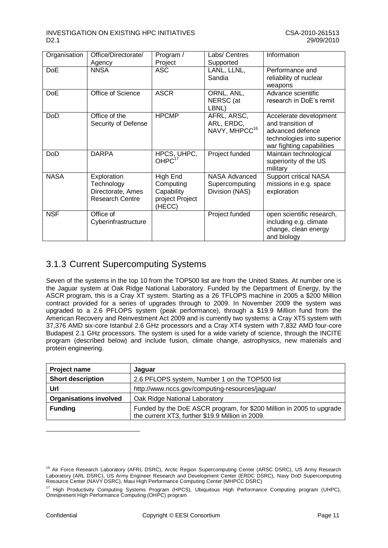| Organisation | Office/Directorate/<br>Agency                                            | Program /<br>Project                                             | Labs/ Centres<br>Supported                               | Information                                                                                                                |
|--------------|--------------------------------------------------------------------------|------------------------------------------------------------------|----------------------------------------------------------|----------------------------------------------------------------------------------------------------------------------------|
| <b>DoE</b>   | <b>NNSA</b>                                                              | ASC                                                              | LANL, LLNL,<br>Sandia                                    | Performance and<br>reliability of nuclear<br>weapons                                                                       |
| <b>DoE</b>   | Office of Science                                                        | <b>ASCR</b>                                                      | ORNL, ANL,<br>NERSC (at<br>LBNL)                         | Advance scientific<br>research in DoE's remit                                                                              |
| <b>DoD</b>   | Office of the<br>Security of Defense                                     | <b>HPCMP</b>                                                     | AFRL, ARSC,<br>ARL, ERDC,<br>NAVY, MHPCC <sup>16</sup>   | Accelerate development<br>and transition of<br>advanced defence<br>technologies into superior<br>war fighting capabilities |
| <b>DoD</b>   | <b>DARPA</b>                                                             | HPCS, UHPC,<br>OHPC <sup>17</sup>                                | Project funded                                           | Maintain technological<br>superiority of the US<br>military                                                                |
| <b>NASA</b>  | Exploration<br>Technology<br>Directorate, Ames<br><b>Research Centre</b> | High End<br>Computing<br>Capability<br>project Project<br>(HECC) | <b>NASA Advanced</b><br>Supercomputing<br>Division (NAS) | <b>Support critical NASA</b><br>missions in e.g. space<br>exploration                                                      |
| <b>NSF</b>   | Office of<br>Cyberinfrastructure                                         |                                                                  | Project funded                                           | open scientific research,<br>including e.g. climate<br>change, clean energy<br>and biology                                 |

## <span id="page-11-0"></span>3.1.3 Current Supercomputing Systems

Seven of the systems in the top 10 from the TOP500 list are from the United States. At number one is the Jaguar system at Oak Ridge National Laboratory. Funded by the Department of Energy, by the ASCR program, this is a Cray XT system. Starting as a 26 TFLOPS machine in 2005 a \$200 Million contract provided for a series of upgrades through to 2009. In November 2009 the system was upgraded to a 2.6 PFLOPS system (peak performance), through a \$19.9 Million fund from the American Recovery and Reinvestment Act 2009 and is currently two systems: a Cray XT5 system with 37,376 AMD six-core Istanbul 2.6 GHz processors and a Cray XT4 system with 7,832 AMD four-core Budapest 2.1 GHz processors. The system is used for a wide variety of science, through the INCITE program (described below) and include fusion, climate change, astrophysics, new materials and protein engineering.

| Project name                  | Jaguar                                                                                                                   |
|-------------------------------|--------------------------------------------------------------------------------------------------------------------------|
| <b>Short description</b>      | 2.6 PFLOPS system, Number 1 on the TOP500 list                                                                           |
| Url                           | http://www.nccs.gov/computing-resources/jaguar/                                                                          |
| <b>Organisations involved</b> | Oak Ridge National Laboratory                                                                                            |
| <b>Funding</b>                | Funded by the DoE ASCR program, for \$200 Million in 2005 to upgrade<br>the current XT3, further \$19.9 Million in 2009. |

<sup>&</sup>lt;sup>16</sup> Air Force Research Laboratory (AFRL DSRC), Arctic Region Supercomputing Center (ARSC DSRC), US Army Research Laboratory (ARL DSRC), US Army Engineer Research and Development Center (ERDC DSRC), Navy DoD Supercomputing Resource Center (NAVY DSRC), Maui High Performance Computing Center (MHPCC DSRC)

<sup>&</sup>lt;sup>17</sup> High Productivity Computing Systems Program (HPCS), Ubiquitous High Performance Computing program (UHPC), Omnipresent High Performance Computing (OHPC) program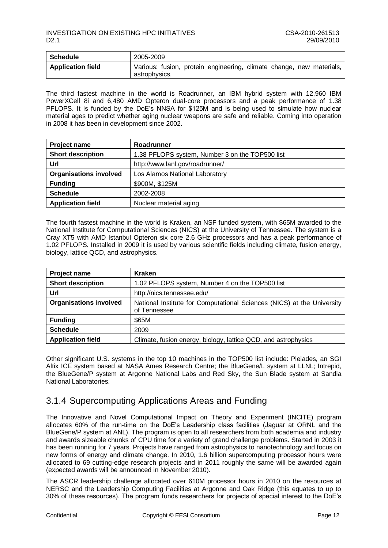| Schedule                 | 2005-2009                                                                             |
|--------------------------|---------------------------------------------------------------------------------------|
| <b>Application field</b> | Various: fusion, protein engineering, climate change, new materials,<br>astrophysics. |

The third fastest machine in the world is Roadrunner, an IBM hybrid system with 12,960 IBM PowerXCell 8i and 6,480 AMD Opteron dual-core processors and a peak performance of 1.38 PFLOPS. It is funded by the DoE's NNSA for \$125M and is being used to simulate how nuclear material ages to predict whether aging nuclear weapons are safe and reliable. Coming into operation in 2008 it has been in development since 2002.

| Project name                                                                | Roadrunner                      |
|-----------------------------------------------------------------------------|---------------------------------|
| <b>Short description</b><br>1.38 PFLOPS system, Number 3 on the TOP500 list |                                 |
| Url                                                                         | http://www.lanl.gov/roadrunner/ |
| <b>Organisations involved</b>                                               | Los Alamos National Laboratory  |
| <b>Funding</b>                                                              | \$900M, \$125M                  |
| <b>Schedule</b>                                                             | 2002-2008                       |
| <b>Application field</b>                                                    | Nuclear material aging          |

The fourth fastest machine in the world is Kraken, an NSF funded system, with \$65M awarded to the National Institute for Computational Sciences (NICS) at the University of Tennessee. The system is a Cray XT5 with AMD Istanbul Opteron six core 2.6 GHz processors and has a peak performance of 1.02 PFLOPS. Installed in 2009 it is used by various scientific fields including climate, fusion energy, biology, lattice QCD, and astrophysics.

| <b>Project name</b>                                                         | <b>Kraken</b>                                                                          |
|-----------------------------------------------------------------------------|----------------------------------------------------------------------------------------|
| <b>Short description</b><br>1.02 PFLOPS system, Number 4 on the TOP500 list |                                                                                        |
| Url                                                                         | http://nics.tennessee.edu/                                                             |
| <b>Organisations involved</b>                                               | National Institute for Computational Sciences (NICS) at the University<br>of Tennessee |
| <b>Funding</b>                                                              | \$65M                                                                                  |
| <b>Schedule</b>                                                             | 2009                                                                                   |
| <b>Application field</b>                                                    | Climate, fusion energy, biology, lattice QCD, and astrophysics                         |

Other significant U.S. systems in the top 10 machines in the TOP500 list include: Pleiades, an SGI Altix ICE system based at NASA Ames Research Centre; the BlueGene/L system at LLNL; Intrepid, the BlueGene/P system at Argonne National Labs and Red Sky, the Sun Blade system at Sandia National Laboratories.

## <span id="page-12-0"></span>3.1.4 Supercomputing Applications Areas and Funding

The Innovative and Novel Computational Impact on Theory and Experiment (INCITE) program allocates 60% of the run-time on the DoE"s Leadership class facilities (Jaguar at ORNL and the BlueGene/P system at ANL). The program is open to all researchers from both academia and industry and awards sizeable chunks of CPU time for a variety of grand challenge problems. Started in 2003 it has been running for 7 years. Projects have ranged from astrophysics to nanotechnology and focus on new forms of energy and climate change. In 2010, 1.6 billion supercomputing processor hours were allocated to 69 cutting-edge research projects and in 2011 roughly the same will be awarded again (expected awards will be announced in November 2010).

The ASCR leadership challenge allocated over 610M processor hours in 2010 on the resources at NERSC and the Leadership Computing Facilities at Argonne and Oak Ridge (this equates to up to 30% of these resources). The program funds researchers for projects of special interest to the DoE"s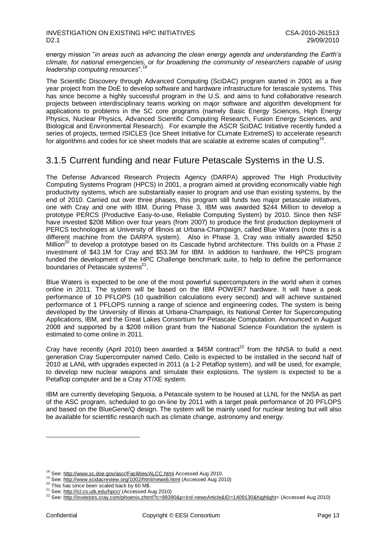energy mission "*in areas such as advancing the clean energy agenda and understanding the Earth's climate, for national emergencies, or for broadening the community of researchers capable of using leadership computing resources*".<sup>18</sup>

The Scientific Discovery through Advanced Computing (SciDAC) program started in 2001 as a five year project from the DoE to develop software and hardware infrastructure for terascale systems. This has since become a highly successful program in the U.S. and aims to fund collaborative research projects between interdisciplinary teams working on major software and algorithm development for applications to problems in the SC core programs (namely Basic Energy Sciences, High Energy Physics, Nuclear Physics, Advanced Scientific Computing Research, Fusion Energy Sciences, and Biological and Environmental Research). For example the ASCR SciDAC Initiative recently funded a series of projects, termed ISICLES (Ice Sheet Initiative for CLimate ExtremeS) to accelerate research for algorithms and codes for ice sheet models that are scalable at extreme scales of computing<sup>19</sup>.

### <span id="page-13-0"></span>3.1.5 Current funding and near Future Petascale Systems in the U.S.

The Defense Advanced Research Projects Agency (DARPA) approved The High Productivity Computing Systems Program (HPCS) in 2001, a program aimed at providing economically viable high productivity systems, which are substantially easier to program and use than existing systems, by the end of 2010. Carried out over three phases, this program still funds two major petascale initiatives, one with Cray and one with IBM. During Phase 3, IBM was awarded \$244 Million to develop a prototype PERCS (Productive Easy-to-use, Reliable Computing System) by 2010. Since then NSF have invested \$208 Million over four years (from 2007) to produce the first production deployment of PERCS technologies at University of Illinois at Urbana-Champaign, called Blue Waters (note this is a different machine from the DARPA system). Also in Phase 3, Cray was initially awarded \$250 Million<sup>20</sup> to develop a prototype based on its Cascade hybrid architecture. This builds on a Phase 2 investment of \$43.1M for Cray and \$53.3M for IBM. In addition to hardware, the HPCS program funded the development of the HPC Challenge benchmark suite, to help to define the performance boundaries of Petascale systems<sup>21</sup>.

Blue Waters is expected to be one of the most powerful supercomputers in the world when it comes online in 2011. The system will be based on the IBM POWER7 hardware. It will have a peak performance of 10 PFLOPS (10 quadrillion calculations every second) and will achieve sustained performance of 1 PFLOPS running a range of science and engineering codes. The system is being developed by the University of Illinois at Urbana-Champaign, its National Center for Supercomputing Applications, IBM, and the Great Lakes Consortium for Petascale Computation. Announced in August 2008 and supported by a \$208 million grant from the National Science Foundation the system is estimated to come online in 2011.

Cray have recently (April 2010) been awarded a \$45M contract<sup>22</sup> from the NNSA to build a next generation Cray Supercomputer named Ceilo. Ceilo is expected to be installed in the second half of 2010 at LANL with upgrades expected in 2011 (a 1-2 Petaflop system), and will be used, for example, to develop new nuclear weapons and simulate their explosions. The system is expected to be a Petaflop computer and be a Cray XT/XE system.

IBM are currently developing Sequoia, a Petascale system to be housed at LLNL for the NNSA as part of the ASC program, scheduled to go on-line by 2011 with a target peak performance of 20 PFLOPS and based on the BlueGene/Q design. The system will be mainly used for nuclear testing but will also be available for scientific research such as climate change, astronomy and energy.

<sup>&</sup>lt;sup>18</sup> See: <http://www.sc.doe.gov/ascr/Facilities/ALCC.html> Accessed Aug 2010.

<sup>19</sup> See: <http://www.scidacreview.org/1002/html/news6.html> (Accessed Aug 2010)

<sup>&</sup>lt;sup>20</sup> This has since been scaled back by 60 M\$.

<sup>&</sup>lt;sup>21</sup> See[: http://icl.cs.utk.edu/hpcc/](http://icl.cs.utk.edu/hpcc/) (Accessed Aug 2010)

<sup>22</sup> See[: http://investors.cray.com/phoenix.zhtml?c=98390&p=irol-newsArticle&ID=1409130&highlight=](http://investors.cray.com/phoenix.zhtml?c=98390&p=irol-newsArticle&ID=1409130&highlight) (Accessed Aug 2010)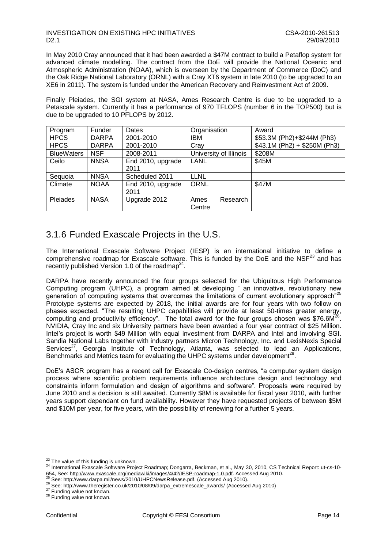### INVESTIGATION ON EXISTING HPC INITIATIVES<br>D2.1 29/09/2010 D2.1 29/09/2010

In May 2010 Cray announced that it had been awarded a \$47M contract to build a Petaflop system for advanced climate modelling. The contract from the DoE will provide the National Oceanic and Atmospheric Administration (NOAA), which is overseen by the Department of Commerce (DoC) and the Oak Ridge National Laboratory (ORNL) with a Cray XT6 system in late 2010 (to be upgraded to an XE6 in 2011). The system is funded under the American Recovery and Reinvestment Act of 2009.

Finally Pleiades, the SGI system at NASA, Ames Research Centre is due to be upgraded to a Petascale system. Currently it has a performance of 970 TFLOPS (number 6 in the TOP500) but is due to be upgraded to 10 PFLOPS by 2012.

| Program           | Funder       | Dates             | Organisation           | Award                        |
|-------------------|--------------|-------------------|------------------------|------------------------------|
| <b>HPCS</b>       | <b>DARPA</b> | 2001-2010         | IBM                    | \$53.3M (Ph2)+\$244M (Ph3)   |
| <b>HPCS</b>       | <b>DARPA</b> | 2001-2010         | Cray                   | $$43.1M (Ph2) + $250M (Ph3)$ |
| <b>BlueWaters</b> | <b>NSF</b>   | 2008-2011         | University of Illinois | \$208M                       |
| Ceilo             | <b>NNSA</b>  | End 2010, upgrade | LANL                   | \$45M                        |
|                   |              | 2011              |                        |                              |
| Sequoia           | <b>NNSA</b>  | Scheduled 2011    | <b>LLNL</b>            |                              |
| Climate           | <b>NOAA</b>  | End 2010, upgrade | <b>ORNL</b>            | \$47M                        |
|                   |              | 2011              |                        |                              |
| <b>Pleiades</b>   | <b>NASA</b>  | Upgrade 2012      | Research<br>Ames       |                              |
|                   |              |                   | Centre                 |                              |

### <span id="page-14-0"></span>3.1.6 Funded Exascale Projects in the U.S.

The International Exascale Software Project (IESP) is an international initiative to define a comprehensive roadmap for Exascale software. This is funded by the DoE and the  $NSF<sup>23</sup>$  and has recently published Version 1.0 of the roadmap<sup>24</sup>.

DARPA have recently announced the four groups selected for the Ubiquitous High Performance Computing program (UHPC), a program aimed at developing " an innovative, revolutionary new generation of computing systems that overcomes the limitations of current evolutionary approach"<sup>25</sup> Prototype systems are expected by 2018, the initial awards are for four years with two follow on phases expected. "The resulting UHPC capabilities will provide at least 50-times greater energy, computing and productivity efficiency". The total award for the four groups chosen was \$76.6 $\overline{M}^{26}$ . NVIDIA, Cray Inc and six University partners have been awarded a four year contract of \$25 Million. Intel"s project is worth \$49 Million with equal investment from DARPA and Intel and involving SGI. Sandia National Labs together with industry partners Micron Technology, Inc. and LexisNexis Special Services<sup>27</sup>, Georgia Institute of Technology, Atlanta, was selected to lead an Applications, Benchmarks and Metrics team for evaluating the UHPC systems under development<sup>28</sup>.

DoE"s ASCR program has a recent call for Exascale Co-design centres, "a computer system design process where scientific problem requirements influence architecture design and technology and constraints inform formulation and design of algorithms and software". Proposals were required by June 2010 and a decision is still awaited. Currently \$8M is available for fiscal year 2010, with further years support dependant on fund availability. However they have requested projects of between \$5M and \$10M per year, for five years, with the possibility of renewing for a further 5 years.

<sup>&</sup>lt;sup>23</sup> The value of this funding is unknown.

<sup>24</sup> International Exascale Software Project Roadmap; Dongarra, Beckman, et al., May 30, 2010, CS Technical Report: ut-cs-10- 654, See: [http://www.exascale.org/mediawiki/images/4/42/IESP-roadmap-1.0.pdf.](http://www.exascale.org/mediawiki/images/4/42/IESP-roadmap-1.0.pdf) Accessed Aug 2010.

See: http://www.darpa.mil/news/2010/UHPCNewsRelease.pdf. (Accessed Aug 2010).

<sup>26</sup> See: http://www.theregister.co.uk/2010/08/09/darpa\_extremescale\_awards/ (Accessed Aug 2010)

<sup>&</sup>lt;sup>27</sup> Funding value not known.

<sup>&</sup>lt;sup>28</sup> Funding value not known.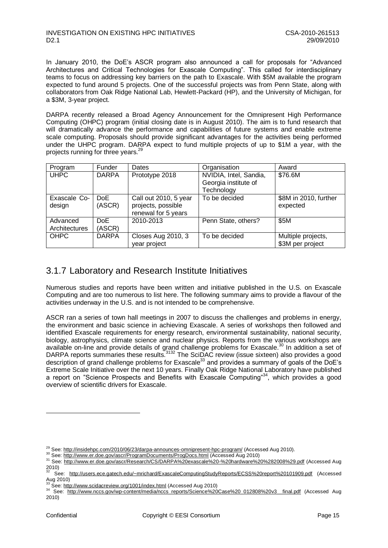In January 2010, the DoE"s ASCR program also announced a call for proposals for "Advanced Architectures and Critical Technologies for Exascale Computing". This called for interdisciplinary teams to focus on addressing key barriers on the path to Exascale. With \$5M available the program expected to fund around 5 projects. One of the successful projects was from Penn State, along with collaborators from Oak Ridge National Lab, Hewlett-Packard (HP), and the University of Michigan, for a \$3M, 3-year project.

DARPA recently released a Broad Agency Announcement for the Omnipresent High Performance Computing (OHPC) program (initial closing date is in August 2010). The aim is to fund research that will dramatically advance the performance and capabilities of future systems and enable extreme scale computing. Proposals should provide significant advantages for the activities being performed under the UHPC program. DARPA expect to fund multiple projects of up to \$1M a year, with the projects running for three years.<sup>29</sup>

| Program                   | Funder         | Dates                                                              | Organisation                                                 | Award                                  |
|---------------------------|----------------|--------------------------------------------------------------------|--------------------------------------------------------------|----------------------------------------|
| <b>UHPC</b>               | <b>DARPA</b>   | Prototype 2018                                                     | NVIDIA, Intel, Sandia,<br>Georgia institute of<br>Technology | \$76.6M                                |
| Exascale Co-<br>design    | DoE<br>(ASCR)  | Call out 2010, 5 year<br>projects, possible<br>renewal for 5 years | To be decided                                                | \$8M in 2010, further<br>expected      |
| Advanced<br>Architectures | DoE.<br>(ASCR) | 2010-2013                                                          | Penn State, others?                                          | \$5M                                   |
| <b>OHPC</b>               | <b>DARPA</b>   | <b>Closes Aug 2010, 3</b><br>year project                          | To be decided                                                | Multiple projects,<br>\$3M per project |

### <span id="page-15-0"></span>3.1.7 Laboratory and Research Institute Initiatives

Numerous studies and reports have been written and initiative published in the U.S. on Exascale Computing and are too numerous to list here. The following summary aims to provide a flavour of the activities underway in the U.S. and is not intended to be comprehensive.

ASCR ran a series of town hall meetings in 2007 to discuss the challenges and problems in energy, the environment and basic science in achieving Exascale. A series of workshops then followed and identified Exascale requirements for energy research, environmental sustainability, national security, biology, astrophysics, climate science and nuclear physics. Reports from the various workshops are available on-line and provide details of grand challenge problems for Exascale.<sup>30</sup> In addition a set of DARPA reports summaries these results.<sup>3132</sup> The SciDAC review (issue sixteen) also provides a good description of grand challenge problems for Exascale<sup>33</sup> and provides a summary of goals of the DoE's Extreme Scale Initiative over the next 10 years. Finally Oak Ridge National Laboratory have published a report on "Science Prospects and Benefits with Exascale Computing"<sup>34</sup>, which provides a good overview of scientific drivers for Exascale.

<sup>30</sup> See[: http://www.er.doe.gov/ascr/ProgramDocuments/ProgDocs.html](http://www.er.doe.gov/ascr/ProgramDocuments/ProgDocs.html) (Accessed Aug 2010)

 $^{29}$  See: <http://insidehpc.com/2010/06/23/darpa-announces-omnipresent-hpc-program/> (Accessed Aug 2010).

<sup>31</sup> See:<http://www.er.doe.gov/ascr/Research/CS/DARPA%20exascale%20-%20hardware%20%282008%29.pdf> (Accessed Aug 2010)

<sup>32</sup> See: <http://users.ece.gatech.edu/~mrichard/ExascaleComputingStudyReports/ECSS%20report%20101909.pdf> (Accessed Aug 2010)

See: <http://www.scidacreview.org/1001/index.html> (Accessed Aug 2010)

<sup>34</sup> See: http://www.sciuacic.victv.org/content/media/nccs\_reports/Science%20Case%20\_012808%20v3\_\_final.pdf (Accessed Aug 2010)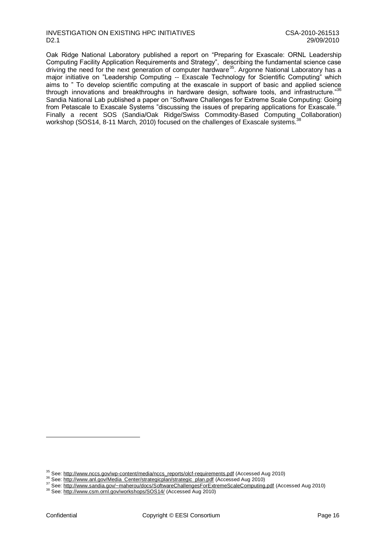### INVESTIGATION ON EXISTING HPC INITIATIVES<br>D2.1 29/09/2010 D2.1 29/09/2010

Oak Ridge National Laboratory published a report on "Preparing for Exascale: ORNL Leadership Computing Facility Application Requirements and Strategy", describing the fundamental science case driving the need for the next generation of computer hardware<sup>35</sup>. Argonne National Laboratory has a major initiative on "Leadership Computing -- Exascale Technology for Scientific Computing" which aims to " To develop scientific computing at the exascale in support of basic and applied science through innovations and breakthroughs in hardware design, software tools, and infrastructure."<sup>36</sup> Sandia National Lab published a paper on "Software Challenges for Extreme Scale Computing: Going from Petascale to Exascale Systems "discussing the issues of preparing applications for Exascale.<sup>3</sup> Finally a recent SOS (Sandia/Oak Ridge/Swiss Commodity-Based Computing Collaboration) workshop (SOS14, 8-11 March, 2010) focused on the challenges of Exascale systems.

<sup>&</sup>lt;sup>35</sup> See: [http://www.nccs.gov/wp-content/media/nccs\\_reports/olcf-requirements.pdf](http://www.nccs.gov/wp-content/media/nccs_reports/olcf-requirements.pdf) (Accessed Aug 2010)

<sup>36</sup> See[: http://www.anl.gov/Media\\_Center/strategicplan/strategic\\_plan.pdf](http://www.anl.gov/Media_Center/strategicplan/strategic_plan.pdf) (Accessed Aug 2010)

<sup>37</sup> See[: http://www.sandia.gov/~maherou/docs/SoftwareChallengesForExtremeScaleComputing.pdf](http://www.sandia.gov/~maherou/docs/SoftwareChallengesForExtremeScaleComputing.pdf) (Accessed Aug 2010)

<sup>38</sup> See[: http://www.csm.ornl.gov/workshops/SOS14/](http://www.csm.ornl.gov/workshops/SOS14/) (Accessed Aug 2010)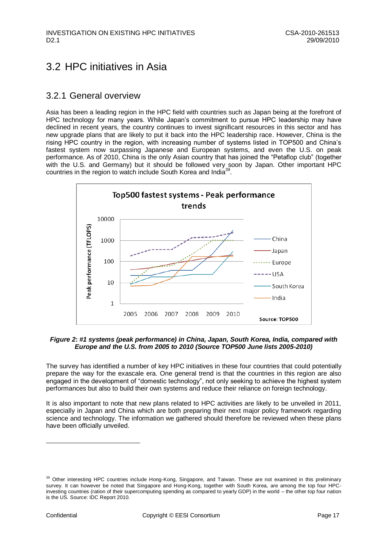## <span id="page-17-0"></span>3.2 HPC initiatives in Asia

### <span id="page-17-1"></span>3.2.1 General overview

Asia has been a leading region in the HPC field with countries such as Japan being at the forefront of HPC technology for many years. While Japan's commitment to pursue HPC leadership may have declined in recent years, the country continues to invest significant resources in this sector and has new upgrade plans that are likely to put it back into the HPC leadership race. However, China is the rising HPC country in the region, with increasing number of systems listed in TOP500 and China"s fastest system now surpassing Japanese and European systems, and even the U.S. on peak performance. As of 2010, China is the only Asian country that has joined the "Petaflop club" (together with the U.S. and Germany) but it should be followed very soon by Japan. Other important HPC countries in the region to watch include South Korea and India<sup>39</sup>.



### <span id="page-17-2"></span>*Figure 2***:** *#1 systems (peak performance) in China, Japan, South Korea, India, compared with Europe and the U.S. from 2005 to 2010 (Source TOP500 June lists 2005-2010)*

The survey has identified a number of key HPC initiatives in these four countries that could potentially prepare the way for the exascale era. One general trend is that the countries in this region are also engaged in the development of "domestic technology", not only seeking to achieve the highest system performances but also to build their own systems and reduce their reliance on foreign technology.

It is also important to note that new plans related to HPC activities are likely to be unveiled in 2011, especially in Japan and China which are both preparing their next major policy framework regarding science and technology. The information we gathered should therefore be reviewed when these plans have been officially unveiled.

<sup>&</sup>lt;sup>39</sup> Other interesting HPC countries include Hong-Kong, Singapore, and Taiwan. These are not examined in this preliminary survey. It can however be noted that Singapore and Hong-Kong, together with South Korea, are among the top four HPCinvesting countries (ration of their supercomputing spending as compared to yearly GDP) in the world – the other top four nation is the US. Source: IDC Report 2010.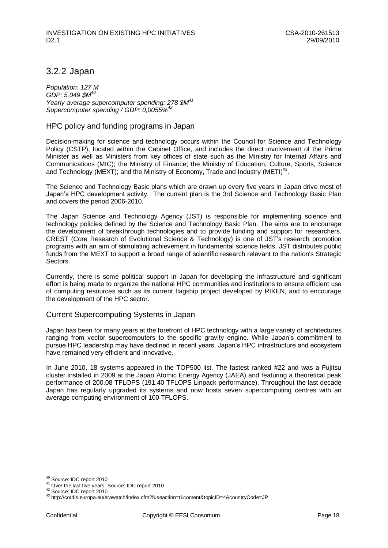## <span id="page-18-0"></span>3.2.2 Japan

*Population: 127 M GDP: 5.049 \$M<sup>40</sup> Yearly average supercomputer spending: 278 \$M<sup>41</sup> Supercomputer spending / GDP: 0,0055%<sup>42</sup>*

### HPC policy and funding programs in Japan

Decision-making for science and technology occurs within the Council for Science and Technology Policy (CSTP), located within the Cabinet Office, and includes the direct involvement of the Prime Minister as well as Ministers from key offices of state such as the Ministry for Internal Affairs and Communications (MIC); the Ministry of Finance; the Ministry of Education, Culture, Sports, Science and Technology (MEXT); and the Ministry of Economy, Trade and Industry (METI)<sup>43</sup>.

The Science and Technology Basic plans which are drawn up every five years in Japan drive most of Japan"s HPC development activity. The current plan is the 3rd Science and Technology Basic Plan and covers the period 2006-2010.

The Japan Science and Technology Agency (JST) is responsible for implementing science and technology policies defined by the Science and Technology Basic Plan. The aims are to encourage the development of breakthrough technologies and to provide funding and support for researchers. CREST (Core Research of Evolutional Science & Technology) is one of JST's research promotion programs with an aim of stimulating achievement in fundamental science fields. JST distributes public funds from the MEXT to support a broad range of scientific research relevant to the nation's Strategic Sectors.

Currently, there is some political support in Japan for developing the infrastructure and significant effort is being made to organize the national HPC communities and institutions to ensure efficient use of computing resources such as its current flagship project developed by RIKEN, and to encourage the development of the HPC sector.

### Current Supercomputing Systems in Japan

Japan has been for many years at the forefront of HPC technology with a large variety of architectures ranging from vector supercomputers to the specific gravity engine. While Japan"s commitment to pursue HPC leadership may have declined in recent years, Japan"s HPC infrastructure and ecosystem have remained very efficient and innovative.

In June 2010, 18 systems appeared in the TOP500 list. The fastest ranked #22 and was a Fujitsu cluster installed in 2009 at the Japan Atomic Energy Agency (JAEA) and featuring a theoretical peak performance of 200.08 TFLOPS (191.40 TFLOPS Linpack performance). Throughout the last decade Japan has regularly upgraded its systems and now hosts seven supercomputing centres with an average computing environment of 100 TFLOPS.

<sup>40</sup> Source: IDC report 2010

<sup>41</sup> Over the last five years. Source: IDC report 2010

<sup>42</sup> Source: IDC report 2010

<sup>43</sup> http://cordis.europa.eu/erawatch/index.cfm?fuseaction=ri.content&topicID=4&countryCode=JP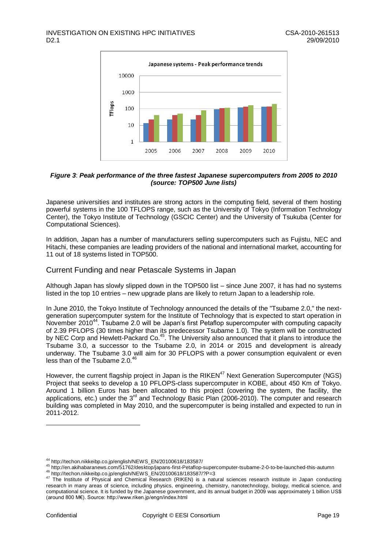

### <span id="page-19-0"></span>*Figure 3*: *Peak performance of the three fastest Japanese supercomputers from 2005 to 2010 (source: TOP500 June lists)*

Japanese universities and institutes are strong actors in the computing field, several of them hosting powerful systems in the 100 TFLOPS range, such as the University of Tokyo (Information Technology Center), the Tokyo Institute of Technology (GSCIC Center) and the University of Tsukuba (Center for Computational Sciences).

In addition, Japan has a number of manufacturers selling supercomputers such as Fujistu, NEC and Hitachi, these companies are leading providers of the national and international market, accounting for 11 out of 18 systems listed in TOP500.

### Current Funding and near Petascale Systems in Japan

Although Japan has slowly slipped down in the TOP500 list – since June 2007, it has had no systems listed in the top 10 entries – new upgrade plans are likely to return Japan to a leadership role.

In June 2010, the Tokyo Institute of Technology announced the details of the "Tsubame 2.0," the nextgeneration supercomputer system for the Institute of Technology that is expected to start operation in November 2010<sup>44</sup>. Tsubame 2.0 will be Japan's first Petaflop supercomputer with computing capacity of 2.39 PFLOPS (30 times higher than its predecessor Tsubame 1.0). The system will be constructed by NEC Corp and Hewlett-Packard Co.<sup>45</sup>. The University also announced that it plans to introduce the Tsubame 3.0, a successor to the Tsubame 2.0, in 2014 or 2015 and development is already underway. The Tsubame 3.0 will aim for 30 PFLOPS with a power consumption equivalent or even less than of the Tsubame 2.0.<sup>46</sup>

However, the current flagship project in Japan is the RIKEN<sup>47</sup> Next Generation Supercomputer (NGS) Project that seeks to develop a 10 PFLOPS-class supercomputer in KOBE, about 450 Km of Tokyo. Around 1 billion Euros has been allocated to this project (covering the system, the facility, the applications, etc.) under the 3<sup>rd</sup> and Technology Basic Plan (2006-2010). The computer and research building was completed in May 2010, and the supercomputer is being installed and expected to run in 2011-2012.

<sup>44</sup> http://techon.nikkeibp.co.jp/english/NEWS\_EN/20100618/183587/

<sup>45</sup> http://en.akihabaranews.com/51762/desktop/japans-first-Petaflop-supercomputer-tsubame-2-0-to-be-launched-this-autumn

 $^{46}$  http://techon.nikkeibp.co.jp/english/NEWS\_EN/20100618/183587/?P=3<br> $^{47}$  The Institute of Physical and Chemical Besearch (BIKEN) is a patt

The Institute of Physical and Chemical Research (RIKEN) is a natural sciences research institute in Japan conducting research in many areas of science, including [physics,](http://en.wikipedia.org/wiki/Physics) engineering, [chemistry,](http://en.wikipedia.org/wiki/Chemistry) nanotechnology, [biology,](http://en.wikipedia.org/wiki/Biology) [medical science,](http://en.wikipedia.org/wiki/Medical_science) and [computational science.](http://en.wikipedia.org/wiki/Computer_science) It is funded by the [Japanese government,](http://en.wikipedia.org/wiki/Japanese_government) and its annual budget in 2009 was approximately 1 billion US\$ (around 800 M€). Source: http://www.riken.jp/engn/index.html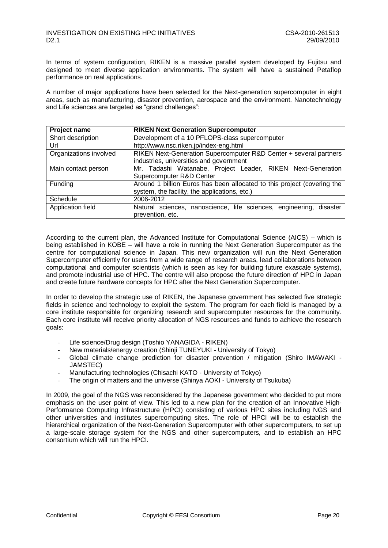In terms of system configuration, RIKEN is a massive parallel system developed by Fujitsu and designed to meet diverse application environments. The system will have a sustained Petaflop performance on real applications.

A number of major applications have been selected for the Next-generation supercomputer in eight areas, such as manufacturing, disaster prevention, aerospace and the environment. Nanotechnology and Life sciences are targeted as "grand challenges":

| Project name           | <b>RIKEN Next Generation Supercomputer</b>                              |  |  |
|------------------------|-------------------------------------------------------------------------|--|--|
| Short description      | Development of a 10 PFLOPS-class supercomputer                          |  |  |
| Url                    | http://www.nsc.riken.jp/index-eng.html                                  |  |  |
| Organizations involved | RIKEN Next-Generation Supercomputer R&D Center + several partners       |  |  |
|                        | industries, universities and government                                 |  |  |
| Main contact person    | Mr. Tadashi Watanabe, Project Leader, RIKEN Next-Generation             |  |  |
|                        | Supercomputer R&D Center                                                |  |  |
| Funding                | Around 1 billion Euros has been allocated to this project (covering the |  |  |
|                        | system, the facility, the applications, etc.)                           |  |  |
| Schedule               | 2006-2012                                                               |  |  |
| Application field      | Natural sciences, nanoscience, life sciences, engineering,<br>disaster  |  |  |
|                        | prevention, etc.                                                        |  |  |

According to the current plan, the Advanced Institute for Computational Science (AICS) – which is being established in KOBE – will have a role in running the Next Generation Supercomputer as the centre for computational science in Japan. This new organization will run the Next Generation Supercomputer efficiently for users from a wide range of research areas, lead collaborations between computational and computer scientists (which is seen as key for building future exascale systems), and promote industrial use of HPC. The centre will also propose the future direction of HPC in Japan and create future hardware concepts for HPC after the Next Generation Supercomputer.

In order to develop the strategic use of RIKEN, the Japanese government has selected five strategic fields in science and technology to exploit the system. The program for each field is managed by a core institute responsible for organizing research and supercomputer resources for the community. Each core institute will receive priority allocation of NGS resources and funds to achieve the research goals:

- Life science/Drug design (Toshio YANAGIDA RIKEN)
- New materials/energy creation (Shinji TUNEYUKI University of Tokyo)
- Global climate change prediction for disaster prevention / mitigation (Shiro IMAWAKI JAMSTEC)
- Manufacturing technologies (Chisachi KATO University of Tokyo)
- The origin of matters and the universe (Shinya AOKI University of Tsukuba)

In 2009, the goal of the NGS was reconsidered by the Japanese government who decided to put more emphasis on the user point of view. This led to a new plan for the creation of an Innovative High-Performance Computing Infrastructure (HPCI) consisting of various HPC sites including NGS and other universities and institutes supercomputing sites. The role of HPCI will be to establish the hierarchical organization of the Next-Generation Supercomputer with other supercomputers, to set up a large-scale storage system for the NGS and other supercomputers, and to establish an HPC consortium which will run the HPCI.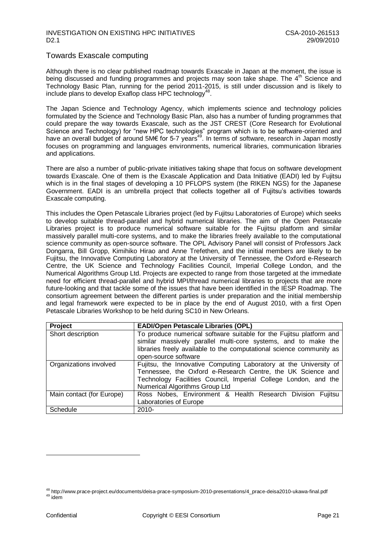### Towards Exascale computing

Although there is no clear published roadmap towards Exascale in Japan at the moment, the issue is being discussed and funding programmes and projects may soon take shape. The 4<sup>th</sup> Science and Technology Basic Plan, running for the period 2011-2015, is still under discussion and is likely to include plans to develop Exaflop class HPC technology $^{48}$ .

The Japan Science and Technology Agency, which implements science and technology policies formulated by the Science and Technology Basic Plan, also has a number of funding programmes that could prepare the way towards Exascale, such as the JST CREST (Core Research for Evolutional Science and Technology) for "new HPC technologies" program which is to be software-oriented and have an overall budget of around 5M€ for 5-7 years<sup>49</sup>. In terms of software, research in Japan mostly focuses on programming and languages environments, numerical libraries, communication libraries and applications.

There are also a number of public-private initiatives taking shape that focus on software development towards Exascale. One of them is the Exascale Application and Data Initiative (EADI) led by Fujitsu which is in the final stages of developing a 10 PFLOPS system (the RIKEN NGS) for the Japanese Government. EADI is an umbrella project that collects together all of Fujitsu"s activities towards Exascale computing.

This includes the Open Petascale Libraries project (led by Fujitsu Laboratories of Europe) which seeks to develop suitable thread-parallel and hybrid numerical libraries. The aim of the Open Petascale Libraries project is to produce numerical software suitable for the Fujitsu platform and similar massively parallel multi-core systems, and to make the libraries freely available to the computational science community as open-source software. The OPL Advisory Panel will consist of Professors Jack Dongarra, Bill Gropp, Kimihiko Hirao and Anne Trefethen, and the initial members are likely to be Fujitsu, the Innovative Computing Laboratory at the University of Tennessee, the Oxford e-Research Centre, the UK Science and Technology Facilities Council, Imperial College London, and the Numerical Algorithms Group Ltd. Projects are expected to range from those targeted at the immediate need for efficient thread-parallel and hybrid MPI/thread numerical libraries to projects that are more future-looking and that tackle some of the issues that have been identified in the IESP Roadmap. The consortium agreement between the different parties is under preparation and the initial membership and legal framework were expected to be in place by the end of August 2010, with a first Open Petascale Libraries Workshop to be held during SC10 in New Orleans.

| Project                   | <b>EADI/Open Petascale Libraries (OPL)</b>                                                                                                                                                                                            |  |  |
|---------------------------|---------------------------------------------------------------------------------------------------------------------------------------------------------------------------------------------------------------------------------------|--|--|
| Short description         | To produce numerical software suitable for the Fujitsu platform and<br>similar massively parallel multi-core systems, and to make the<br>libraries freely available to the computational science community as                         |  |  |
|                           | open-source software                                                                                                                                                                                                                  |  |  |
| Organizations involved    | Fujitsu, the Innovative Computing Laboratory at the University of<br>Tennessee, the Oxford e-Research Centre, the UK Science and<br>Technology Facilities Council, Imperial College London, and the<br>Numerical Algorithms Group Ltd |  |  |
| Main contact (for Europe) | Ross Nobes, Environment & Health Research Division Fujitsu<br>Laboratories of Europe                                                                                                                                                  |  |  |
| Schedule                  | $2010 -$                                                                                                                                                                                                                              |  |  |

<sup>48</sup> http://www.prace-project.eu/documents/deisa-prace-symposium-2010-presentations/4\_prace-deisa2010-ukawa-final.pdf  $49$  idem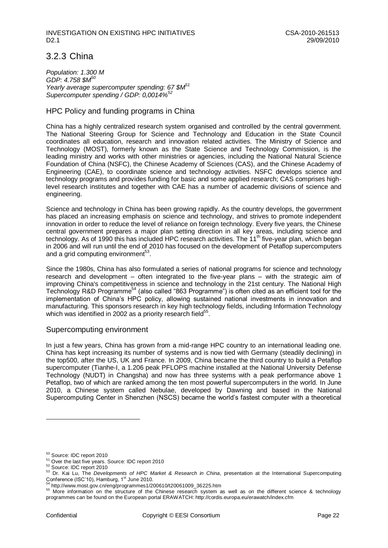### <span id="page-22-0"></span>3.2.3 China

*Population: 1.300 M GDP: 4.758 \$M<sup>50</sup> Yearly average supercomputer spending: 67 \$M<sup>51</sup> Supercomputer spending / GDP: 0,0014%*<sup>5</sup>

### HPC Policy and funding programs in China

China has a highly centralized research system organised and controlled by the central government. The National Steering Group for Science and Technology and Education in the State Council coordinates all education, research and innovation related activities. The Ministry of Science and Technology (MOST), formerly known as the State Science and Technology Commission, is the leading ministry and works with other ministries or agencies, including the National Natural Science Foundation of China (NSFC), the Chinese Academy of Sciences (CAS), and the Chinese Academy of Engineering (CAE), to coordinate science and technology activities. NSFC develops science and technology programs and provides funding for basic and some applied research; CAS comprises highlevel research institutes and together with CAE has a number of academic divisions of science and engineering.

Science and technology in China has been growing rapidly. As [the](http://en.wikipedia.org/wiki/People%27s_Republic_of_China) country develops, the government has placed an increasing emphasis on science and technology, and strives to promote independent innovation in order to reduce the level of reliance on foreign technology. Every five years, the Chinese central government prepares a major plan setting direction in all key areas, including science and technology. As of 1990 this has included HPC research activities. The 11<sup>th</sup> five-year plan, which began in 2006 and will run until the end of 2010 has focused on the development of Petaflop supercomputers and a grid computing environment<sup>53</sup>.

Since the 1980s, China has also formulated a series of [national programs](http://www.fmprc.gov.cn/ce/celt/eng/kxjs/kxjsfz/t124887.htm) for science and technology research and development – often integrated to the five-year plans – with the strategic aim of improving China's [competitiveness](http://en.wikipedia.org/wiki/Competitiveness) in science and technology in the 21st century. The National High Technology R&D Programme<sup>54</sup> (also called "863 Programme") is often cited as an efficient tool for the implementation of China"s HPC policy, allowing sustained national investments in innovation and manufacturing. This sponsors research in key high technology fields, including Information Technology which was identified in 2002 as a priority research field $55$ .

### Supercomputing environment

In just a few years, China has grown from a mid-range HPC country to an international leading one. China has kept increasing its number of systems and is now tied with Germany (steadily declining) in the top500, after the US, UK and France. In 2009, China became the third country to build a Petaflop supercomputer (Tianhe-I, a 1.206 peak PFLOPS machine installed at the National University Defense Technology (NUDT) in Changsha) and now has three systems with a peak performance above 1 Petaflop, two of which are ranked among the ten most powerful supercomputers in the world. In June 2010, a Chinese system called Nebulae, developed by Dawning and based in the National Supercomputing Center in Shenzhen (NSCS) became the world"s fastest computer with a theoretical

<sup>50</sup> Source: IDC report 2010

<sup>51</sup> Over the last five years. Source: IDC report 2010

<sup>52</sup> Source: IDC report 2010

<sup>53</sup> Dr. Kai Lu, The *Developments of HPC Market & Research in China*, presentation at the International Supercomputing Conference (ISC'10), Hamburg,  $1<sup>st</sup>$  June 2010.

<sup>54</sup> http://www.most.gov.cn/eng/programmes1/200610/t20061009\_36225.htm

<sup>55</sup> More information on the structure of the Chinese research system as well as on the different science & technology programmes can be found on the European portal ERAWATCH: http://cordis.europa.eu/erawatch/index.cfm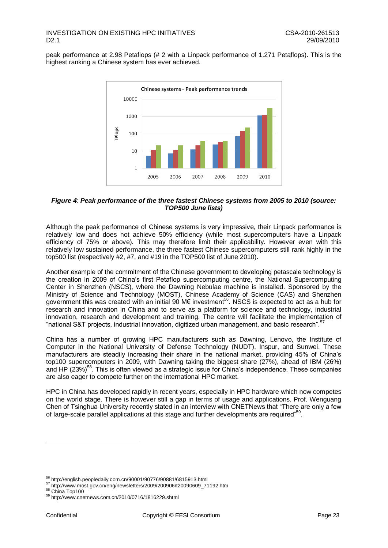peak performance at 2.98 Petaflops (# 2 with a Linpack performance of 1.271 Petaflops). This is the highest ranking a Chinese system has ever achieved.



### <span id="page-23-0"></span>*Figure 4*: *Peak performance of the three fastest Chinese systems from 2005 to 2010 (source: TOP500 June lists)*

Although the peak performance of Chinese systems is very impressive, their Linpack performance is relatively low and does not achieve 50% efficiency (while most supercomputers have a Linpack efficiency of 75% or above). This may therefore limit their applicability. However even with this relatively low sustained performance, the three fastest Chinese supercomputers still rank highly in the top500 list (respectively #2, #7, and #19 in the TOP500 list of June 2010).

Another example of the commitment of the Chinese government to developing petascale technology is the creation in 2009 of China"s first Petaflop supercomputing centre, the National Supercomputing Center in Shenzhen (NSCS), where the Dawning Nebulae machine is installed. Sponsored by the Ministry of Science and Technology (MOST), Chinese Academy of Science (CAS) and Shenzhen government this was created with an initial 90 M $\epsilon$  investment<sup>56</sup>. NSCS is expected to act as a hub for research and innovation in China and to serve as a platform for science and technology, industrial innovation, research and development and training. The centre will facilitate the implementation of "national S&T projects, industrial innovation, digitized urban management, and basic research".<sup>57</sup>

China has a number of growing HPC manufacturers such as Dawning, Lenovo, the Institute of Computer in the National University of Defense Technology (NUDT), Inspur, and Sunwei. These manufacturers are steadily increasing their share in the national market, providing 45% of China"s top100 supercomputers in 2009, with Dawning taking the biggest share (27%), ahead of IBM (26%) and HP (23%)<sup>58</sup>. This is often viewed as a strategic issue for China's independence. These companies are also eager to compete further on the international HPC market.

HPC in China has developed rapidly in recent years, especially in HPC hardware which now competes on the world stage. There is however still a gap in terms of usage and applications. Prof. Wenguang Chen of Tsinghua University recently stated in an interview with CNETNews that "There are only a few of large-scale parallel applications at this stage and further developments are required"<sup>59</sup>.

- <sup>57</sup> http://www.most.gov.cn/eng/newsletters/2009/200906/t20090609\_71192.htm
- 58 China Top100

<sup>&</sup>lt;sup>56</sup> http://english.peopledaily.com.cn/90001/90776/90881/6815913.html

 $59$  http://www.cnetnews.com.cn/2010/0716/1816229.shtml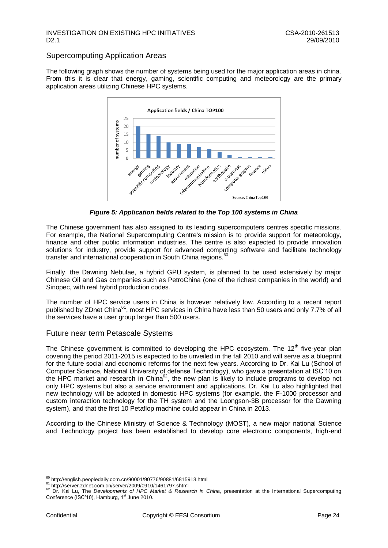### Supercomputing Application Areas

The following graph shows the number of systems being used for the major application areas in china. From this it is clear that energy, gaming, scientific computing and meteorology are the primary application areas utilizing Chinese HPC systems.



*Figure 5: Application fields related to the Top 100 systems in China*

The Chinese government has also assigned to its leading supercomputers centres specific missions. For example, the National Supercomputing Centre's mission is to provide support for meteorology, finance and other public information industries. The centre is also expected to provide innovation solutions for industry, provide support for advanced computing software and facilitate technology transfer and international cooperation in South China regions.

Finally, the Dawning Nebulae, a hybrid GPU system, is planned to be used extensively by major Chinese Oil and Gas companies such as PetroChina (one of the richest companies in the world) and Sinopec, with real hybrid production codes.

The number of HPC service users in China is however relatively low. According to a recent report published by ZDnet China<sup>61</sup>, most HPC services in China have less than 50 users and only 7.7% of all the services have a user group larger than 500 users.

### Future near term Petascale Systems

The Chinese government is committed to developing the HPC ecosystem. The  $12<sup>th</sup>$  five-year plan covering the period 2011-2015 is expected to be unveiled in the fall 2010 and will serve as a blueprint for the future social and economic reforms for the next few years. According to Dr. Kai Lu (School of Computer Science, National University of defense Technology), who gave a presentation at ISC"10 on the HPC market and research in China<sup>62</sup>, the new plan is likely to include programs to develop not only HPC systems but also a service environment and applications. Dr. Kai Lu also highlighted that new technology will be adopted in domestic HPC systems (for example. the F-1000 processor and custom interaction technology for the TH system and the Loongson-3B processor for the Dawning system), and that the first 10 Petaflop machine could appear in China in 2013.

According to the Chinese Ministry of Science & Technology (MOST), a new major national Science and Technology project has been established to develop core electronic components, high-end

 $60$  http://english.peopledaily.com.cn/90001/90776/90881/6815913.html

<sup>&</sup>lt;sup>61</sup> http://server.zdnet.com.cn/server/2009/0910/1461797.shtml

<sup>62</sup> Dr. Kai Lu, The *Developments of HPC Market & Research in China*, presentation at the International Supercomputing Conference (ISC'10), Hamburg, 1<sup>st</sup> June 2010.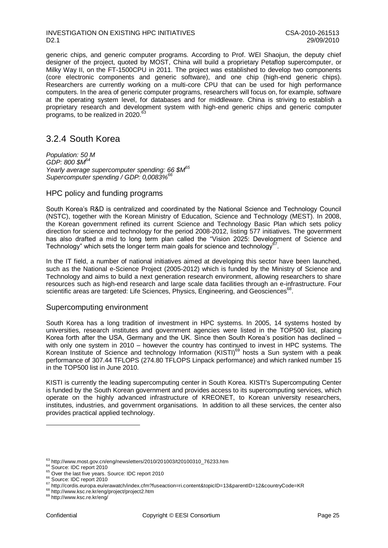generic chips, and generic computer programs. According to Prof. WEI Shaojun, the deputy chief designer of the project, quoted by MOST, China will build a proprietary Petaflop supercomputer, or Milky Way II, on the FT-1500CPU in 2011. The project was established to develop two components (core electronic components and generic software), and one chip (high-end generic chips). Researchers are currently working on a multi-core CPU that can be used for high performance computers. In the area of generic computer programs, researchers will focus on, for example, software at the operating system level, for databases and for middleware. China is striving to establish a proprietary research and development system with high-end generic chips and generic computer programs, to be realized in 2020.<sup>6</sup>

### <span id="page-25-0"></span>3.2.4 South Korea

*Population: 50 M GDP: 800 \$M<sup>64</sup> Yearly average supercomputer spending: 66 \$M<sup>65</sup> Supercomputer spending / GDP: 0,0083%<sup>66</sup>*

### HPC policy and funding programs

South Korea"s R&D is centralized and coordinated by the National Science and Technology Council (NSTC), together with the Korean Ministry of Education, Science and Technology (MEST). In 2008, the Korean government refined its current Science and Technology Basic Plan which sets policy direction for science and technology for the period 2008-2012, listing 577 initiatives. The government has also drafted a mid to long term plan called the "Vision 2025: Development of Science and Technology" which sets the longer term main goals for science and technology $^{67}$ .

In the IT field, a number of national initiatives aimed at developing this sector have been launched, such as the National e-Science Project (2005-2012) which is funded by the Ministry of Science and Technology and aims to build a next generation research environment, allowing researchers to share resources such as high-end research and large scale data facilities through an e-infrastructure. Four scientific areas are targeted: Life Sciences, Physics, Engineering, and Geosciences<sup>68</sup>.

### Supercomputing environment

South Korea has a long tradition of investment in HPC systems. In 2005, 14 systems hosted by universities, research institutes and government agencies were listed in the TOP500 list, placing Korea forth after the USA, Germany and the UK. Since then South Korea's position has declined with only one system in 2010 – however the country has continued to invest in HPC systems. The Korean Institute of Science and technology Information (KISTI)<sup>69</sup> hosts a Sun system with a peak performance of 307.44 TFLOPS (274.80 TFLOPS Linpack performance) and which ranked number 15 in the TOP500 list in June 2010.

KISTI is currently the leading supercomputing center in South Korea. KISTI's Supercomputing Center is funded by the South Korean government and provides access to its supercomputing services, which operate on the highly advanced infrastructure of KREONET, to Korean university researchers, institutes, industries, and government organisations. In addition to all these services, the center also provides practical applied technology.

 $^{63}$  http://www.most.gov.cn/eng/newsletters/2010/201003/t20100310\_76233.htm

<sup>&</sup>lt;sup>64</sup> Source: IDC report 2010

<sup>&</sup>lt;sup>65</sup> Over the last five years. Source: IDC report 2010

<sup>&</sup>lt;sup>66</sup> Source: IDC report 2010

<sup>67</sup> http://cordis.europa.eu/erawatch/index.cfm?fuseaction=ri.content&topicID=13&parentID=12&countryCode=KR

<sup>68</sup> http://www.ksc.re.kr/eng/project/project2.htm

<sup>69</sup> http://www.ksc.re.kr/eng/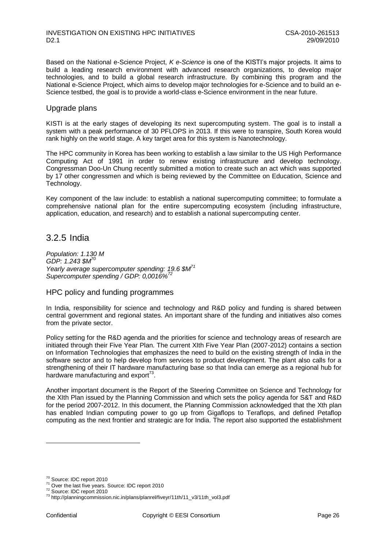Based on the National e-Science Project, *K e-Science* is one of the KISTI"s major projects. It aims to build a leading research environment with advanced research organizations, to develop major technologies, and to build a global research infrastructure. By combining this program and the National e-Science Project, which aims to develop major technologies for e-Science and to build an e-Science testbed, the goal is to provide a world-class e-Science environment in the near future.

### Upgrade plans

KISTI is at the early stages of developing its next supercomputing system. The goal is to install a system with a peak performance of 30 PFLOPS in 2013. If this were to transpire, South Korea would rank highly on the world stage. A key target area for this system is Nanotechnology.

The HPC community in Korea has been working to establish a law similar to the US High Performance Computing Act of 1991 in order to renew existing infrastructure and develop technology. Congressman Doo-Un Chung recently submitted a motion to create such an act which was supported by 17 other congressmen and which is being reviewed by the Committee on Education, Science and Technology.

Key component of the law include: to establish a national supercomputing committee; to formulate a comprehensive national plan for the entire supercomputing ecosystem (including infrastructure, application, education, and research) and to establish a national supercomputing center.

### <span id="page-26-0"></span>3.2.5 India

*Population: 1.130 M GDP: 1.243 \$M<sup>70</sup> Yearly average supercomputer spending: 19.6 \$M<sup>71</sup> Supercomputer spending / GDP: 0,0016%<sup>72</sup>*

### HPC policy and funding programmes

In India, responsibility for science and technology and R&D policy and funding is shared between central government and regional states. An important share of the funding and initiatives also comes from the private sector.

Policy setting for the R&D agenda and the priorities for science and technology areas of research are initiated through their Five Year Plan. The current XIth Five Year Plan (2007-2012) contains a section on Information Technologies that emphasizes the need to build on the existing strength of India in the software sector and to help develop from services to product development. The plant also calls for a strengthening of their IT hardware manufacturing base so that India can emerge as a regional hub for hardware manufacturing and export $73$ .

Another important document is the Report of the Steering Committee on Science and Technology for the XIth Plan issued by the Planning Commission and which sets the policy agenda for S&T and R&D for the period 2007-2012. In this document, the Planning Commission acknowledged that the Xth plan has enabled Indian computing power to go up from Gigaflops to Teraflops, and defined Petaflop computing as the next frontier and strategic are for India. The report also supported the establishment

<sup>70</sup> Source: IDC report 2010

<sup>71</sup> Over the last five years. Source: IDC report 2010

<sup>72</sup> Source: IDC report 2010

<sup>73</sup> http://planningcommission.nic.in/plans/planrel/fiveyr/11th/11\_v3/11th\_vol3.pdf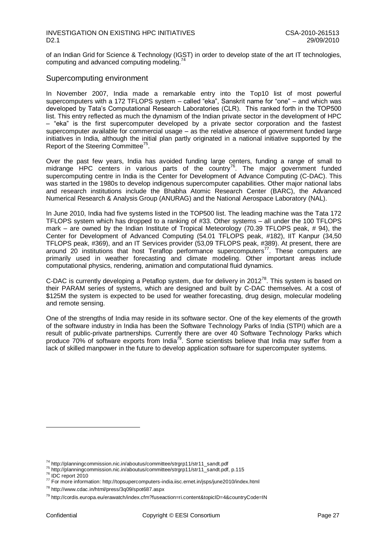of an Indian Grid for Science & Technology (IGST) in order to develop state of the art IT technologies, computing and advanced computing modeling.<sup>7</sup>

### Supercomputing environment

In November 2007, India made a remarkable entry into the Top10 list of most powerful supercomputers with a 172 TFLOPS system – called "eka", Sanskrit name for "one" – and which was developed by Tata"s Computational Research Laboratories (CLR). This ranked forth in the TOP500 list. This entry reflected as much the dynamism of the Indian private sector in the development of HPC – "eka" is the first supercomputer developed by a private sector corporation and the fastest supercomputer available for commercial usage – as the relative absence of government funded large initiatives in India, although the initial plan partly originated in a national initiative supported by the Report of the Steering Committee<sup>75</sup>.

Over the past few years, India has avoided funding large centers, funding a range of small to midrange HPC centers in various parts of the country<sup>76</sup>. The major government funded supercomputing centre in India is the Center for Development of Advance Computing (C-DAC). This was started in the 1980s to develop indigenous supercomputer capabilities. Other major national labs and research institutions include the Bhabha Atomic Research Center (BARC), the Advanced Numerical Research & Analysis Group (ANURAG) and the National Aerospace Laboratory (NAL).

In June 2010, India had five systems listed in the TOP500 list. The leading machine was the Tata 172 TFLOPS system which has dropped to a ranking of #33. Other systems – all under the 100 TFLOPS mark – are owned by the Indian Institute of Tropical Meteorology (70.39 TFLOPS peak, # 94), the Center for Development of Advanced Computing (54.01 TFLOPS peak, #182), IIT Kanpur (34,50 TFLOPS peak, #369), and an IT Services provider (53,09 TFLOPS peak, #389). At present, there are around 20 institutions that host Teraflop performance supercomputers<sup>77</sup>. These computers are primarily used in weather forecasting and climate modeling. Other important areas include computational physics, rendering, animation and computational fluid dynamics.

C-DAC is currently developing a Petaflop system, due for delivery in  $2012^{78}$ . This system is based on their PARAM series of systems, which are designed and built by C-DAC themselves. At a cost of \$125M the system is expected to be used for weather forecasting, drug design, molecular modeling and remote sensing.

One of the strengths of India may reside in its software sector. One of the key elements of the growth of the software industry in India has been the Software Technology Parks of India (STPI) which are a result of public-private partnerships. Currently there are over 40 Software Technology Parks which produce 70% of software exports from India<sup>79</sup>. Some scientists believe that India may suffer from a lack of skilled manpower in the future to develop application software for supercomputer systems.

<sup>74</sup> http://planningcommission.nic.in/aboutus/committee/strgrp11/str11\_sandt.pdf

<sup>75</sup> http://planningcommission.nic.in/aboutus/committee/strgrp11/str11\_sandt.pdf, p.115

 $76$  IDC report 2010

<sup>77</sup> For more information: http://topsupercomputers-india.iisc.ernet.in/jsps/june2010/index.html

<sup>78</sup> http://www.cdac.in/html/press/3q09/spot687.aspx

<sup>79</sup> http://cordis.europa.eu/erawatch/index.cfm?fuseaction=ri.content&topicID=4&countryCode=IN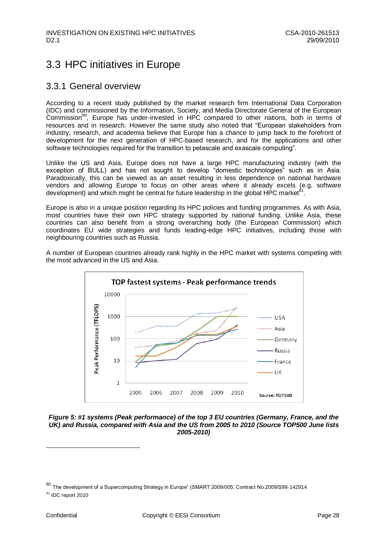## <span id="page-28-0"></span>3.3 HPC initiatives in Europe

### <span id="page-28-1"></span>3.3.1 General overview

According to a recent study published by the market research firm International Data Corporation (IDC) and commissioned by the Information, Society, and Media Directorate General of the European  $Commission^{80}$ , Europe has under-invested in HPC compared to other nations, both in terms of resources and in research. However the same study also noted that "European stakeholders from industry, research, and academia believe that Europe has a chance to jump back to the forefront of development for the next generation of HPC-based research, and for the applications and other software technologies required for the transition to petascale and exascale computing".

Unlike the US and Asia, Europe does not have a large HPC manufacturing industry (with the exception of BULL) and has not sought to develop "domestic technologies" such as in Asia. Paradoxically, this can be viewed as an asset resulting in less dependence on national hardware vendors and allowing Europe to focus on other areas where it already excels (e.g. software development) and which might be central for future leadership in the global HPC market .

Europe is also in a unique position regarding its HPC policies and funding programmes. As with Asia, most countries have their own HPC strategy supported by national funding. Unlike Asia, these countries can also benefit from a strong overarching body (the European Commission) which coordinates EU wide strategies and funds leading-edge HPC initiatives, including those with neighbouring countries such as Russia.

A number of European countries already rank highly in the HPC market with systems competing with the most advanced in the US and Asia.



### <span id="page-28-2"></span>*Figure 5: #1 systems (Peak performance) of the top 3 EU countries (Germany, France, and the UK) and Russia, compared with Asia and the US from 2005 to 2010 (Source TOP500 June lists 2005-2010)*

<sup>80</sup> The development of a Supercomputing Strategy in Europe" (SMART 2009/005, Contract No 2009/S99-142914

<sup>&</sup>lt;sup>81</sup> IDC report 2010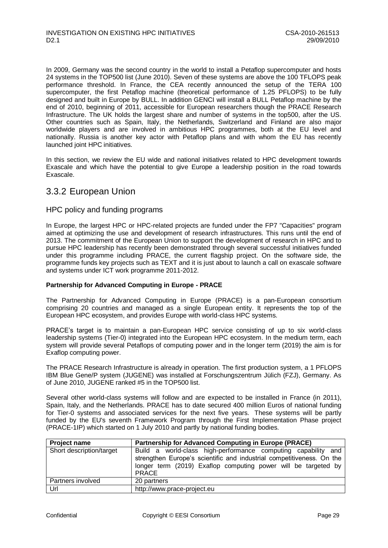In 2009, Germany was the second country in the world to install a Petaflop supercomputer and hosts 24 systems in the TOP500 list (June 2010). Seven of these systems are above the 100 TFLOPS peak performance threshold. In France, the CEA recently announced the setup of the TERA 100 supercomputer, the first Petaflop machine (theoretical performance of 1.25 PFLOPS) to be fully designed and built in Europe by BULL. In addition GENCI will install a BULL Petaflop machine by the end of 2010, beginning of 2011, accessible for European researchers though the PRACE Research Infrastructure. The UK holds the largest share and number of systems in the top500, after the US. Other countries such as Spain, Italy, the Netherlands, Switzerland and Finland are also major worldwide players and are involved in ambitious HPC programmes, both at the EU level and nationally. Russia is another key actor with Petaflop plans and with whom the EU has recently launched joint HPC initiatives.

In this section, we review the EU wide and national initiatives related to HPC development towards Exascale and which have the potential to give Europe a leadership position in the road towards Exascale.

### <span id="page-29-0"></span>3.3.2 European Union

### HPC policy and funding programs

In Europe, the largest HPC or HPC-related projects are funded under the FP7 "Capacities" program aimed at optimizing the use and development of research infrastructures. This runs until the end of 2013. The commitment of the European Union to support the development of research in HPC and to pursue HPC leadership has recently been demonstrated through several successful initiatives funded under this programme including PRACE, the current flagship project. On the software side, the programme funds key projects such as TEXT and it is just about to launch a call on exascale software and systems under ICT work programme 2011-2012.

### **Partnership for Advanced Computing in Europe - PRACE**

The Partnership for Advanced Computing in Europe (PRACE) is a pan-European consortium comprising 20 countries and managed as a single European entity. It represents the top of the European HPC ecosystem, and provides Europe with world-class HPC systems.

PRACE's target is to maintain a pan-European HPC service consisting of up to six world-class leadership systems (Tier-0) integrated into the European HPC ecosystem. In the medium term, each system will provide several Petaflops of computing power and in the longer term (2019) the aim is for Exaflop computing power.

The PRACE Research Infrastructure is already in operation. The first production system, a 1 PFLOPS IBM Blue Gene/P system (JUGENE) was installed at Forschungszentrum Jülich (FZJ), Germany. As of June 2010, JUGENE ranked #5 in the TOP500 list.

Several other world-class systems will follow and are expected to be installed in France (in 2011), Spain, Italy, and the Netherlands. PRACE has to date secured 400 million Euros of national funding for Tier-0 systems and associated services for the next five years. These systems will be partly funded by the EU's seventh Framework Program through the First Implementation Phase project (PRACE-1IP) which started on 1 July 2010 and partly by national funding bodies.

| <b>Project name</b>      | <b>Partnership for Advanced Computing in Europe (PRACE)</b>                                                                                                                                                              |
|--------------------------|--------------------------------------------------------------------------------------------------------------------------------------------------------------------------------------------------------------------------|
| Short description/target | Build a world-class high-performance computing capability and<br>strengthen Europe's scientific and industrial competitiveness. On the<br>longer term (2019) Exaflop computing power will be targeted by<br><b>PRACE</b> |
| Partners involved        | 20 partners                                                                                                                                                                                                              |
| Url                      | http://www.prace-project.eu                                                                                                                                                                                              |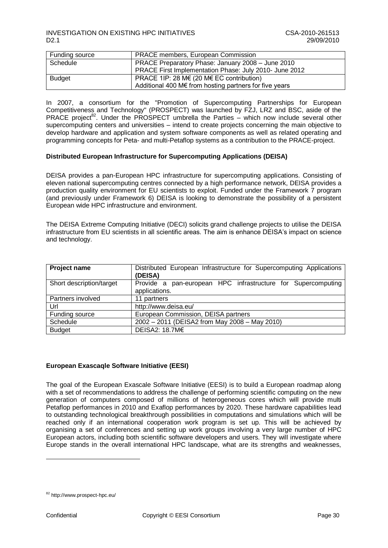| Funding source | <b>PRACE members, European Commission</b>                        |
|----------------|------------------------------------------------------------------|
| Schedule       | PRACE Preparatory Phase: January 2008 - June 2010                |
|                | PRACE First Implementation Phase: July 2010- June 2012           |
| <b>Budget</b>  | PRACE 1IP: 28 M $\in$ (20 M $\in$ EC contribution)               |
|                | Additional 400 M $\epsilon$ from hosting partners for five years |

In 2007, a consortium for the "Promotion of Supercomputing Partnerships for European Competitiveness and Technology" (PROSPECT) was launched by FZJ, LRZ and BSC, aside of the PRACE project<sup>82</sup>. Under the PROSPECT umbrella the Parties – which now include several other supercomputing centers and universities – intend to create projects concerning the main objective to develop hardware and application and system software components as well as related operating and programming concepts for Peta- and multi-Petaflop systems as a contribution to the PRACE-project.

### **Distributed European Infrastructure for Supercomputing Applications (DEISA)**

DEISA provides a pan-European HPC infrastructure for supercomputing applications. Consisting of eleven national supercomputing centres connected by a high performance network, DEISA provides a production quality environment for EU scientists to exploit. Funded under the Framework 7 program (and previously under Framework 6) DEISA is looking to demonstrate the possibility of a persistent European wide HPC infrastructure and environment.

The DEISA Extreme Computing Initiative (DECI) solicits grand challenge projects to utilise the DEISA infrastructure from EU scientists in all scientific areas. The aim is enhance DEISA"s impact on science and technology.

| Project name             | Distributed European Infrastructure for Supercomputing Applications<br>(DEISA) |
|--------------------------|--------------------------------------------------------------------------------|
| Short description/target | Provide a pan-european HPC infrastructure for Supercomputing<br>applications.  |
| Partners involved        | 11 partners                                                                    |
| Url                      | http://www.deisa.eu/                                                           |
| Funding source           | European Commission, DEISA partners                                            |
| Schedule                 | 2002 - 2011 (DEISA2 from May 2008 - May 2010)                                  |
| <b>Budget</b>            | DEISA2: 18.7M€                                                                 |

#### **European Exascaqle Software Initiative (EESI)**

The goal of the European Exascale Software Initiative (EESI) is to build a European roadmap along with a set of recommendations to address the challenge of performing scientific computing on the new generation of computers composed of millions of heterogeneous cores which will provide multi Petaflop performances in 2010 and Exaflop performances by 2020. These hardware capabilities lead to outstanding technological breakthrough possibilities in computations and simulations which will be reached only if an international cooperation work program is set up. This will be achieved by organising a set of conferences and setting up work groups involving a very large number of HPC European actors, including both scientific software developers and users. They will investigate where Europe stands in the overall international HPC landscape, what are its strengths and weaknesses,

<sup>82</sup> http://www.prospect-hpc.eu/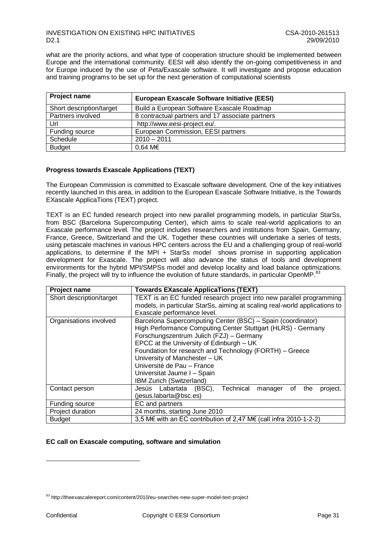what are the priority actions, and what type of cooperation structure should be implemented between Europe and the international community. EESI will also identify the on-going competitiveness in and for Europe induced by the use of Peta/Exascale software. It will investigate and propose education and training programs to be set up for the next generation of computational scientists

| <b>Project name</b>      | <b>European Exascale Software Initiative (EESI)</b> |
|--------------------------|-----------------------------------------------------|
| Short description/target | Build a European Software Exascale Roadmap          |
| Partners involved        | 8 contractual partners and 17 associate partners    |
| Url                      | http://www.eesi-project.eu/.                        |
| Funding source           | European Commission, EESI partners                  |
| Schedule                 | $2010 - 2011$                                       |
| <b>Budget</b>            | $0.64 \, \text{M} \in$                              |

### **Progress towards Exascale Applications (TEXT)**

The European Commission is committed to Exascale software development. One of the key initiatives recently launched in this area, in addition to the European Exascale Software Initiative, is the Towards EXascale ApplicaTions (TEXT) project.

TEXT is an EC funded research project into new parallel programming models, in particular StarSs, from BSC (Barcelona Supercomputing Center), which aims to scale real-world applications to an Exascale performance level. The project includes researchers and institutions from Spain, Germany, France, Greece, Switzerland and the UK. Together these countries will undertake a series of tests, using petascale machines in various HPC centers across the EU and a challenging group of real-world applications, to determine if the MPI + StarSs model shows promise in supporting application development for Exascale. The project will also advance the status of tools and development environments for the hybrid MPI/SMPSs model and develop locality and load balance optimizations. Finally, the project will try to influence the evolution of future standards, in particular OpenMP.<sup>87</sup>

| Project name             | <b>Towards EXascale ApplicaTions (TEXT)</b>                                |  |  |
|--------------------------|----------------------------------------------------------------------------|--|--|
| Short description/target | TEXT is an EC funded research project into new parallel programming        |  |  |
|                          | models, in particular StarSs, aiming at scaling real-world applications to |  |  |
|                          | Exascale performance level.                                                |  |  |
| Organisations involved   | Barcelona Supercomputing Center (BSC) - Spain (coordinator)                |  |  |
|                          | High Performance Computing Center Stuttgart (HLRS) - Germany               |  |  |
|                          | Forschungszentrum Julich (FZJ) – Germany                                   |  |  |
|                          | EPCC at the University of Edinburgh - UK                                   |  |  |
|                          | Foundation for research and Technology (FORTH) - Greece                    |  |  |
|                          | University of Manchester - UK                                              |  |  |
|                          | Université de Pau - France                                                 |  |  |
|                          | Universitat Jaume I - Spain                                                |  |  |
|                          | IBM Zurich (Switzerland)                                                   |  |  |
| Contact person           | Technical<br>Jesús Labartata (BSC),<br>project.<br>οf<br>the<br>manager    |  |  |
|                          | (jesus.labarta@bsc.es)                                                     |  |  |
| Funding source           | EC and partners                                                            |  |  |
| Project duration         | 24 months, starting June 2010                                              |  |  |
| <b>Budget</b>            | 3,5 M€ with an EC contribution of 2,47 M€ (call infra 2010-1-2-2)          |  |  |

#### **EC call on Exascale computing, software and simulation**

<sup>83</sup> http://theexascalereport.com/content/2010/eu-searches-new-super-model-text-project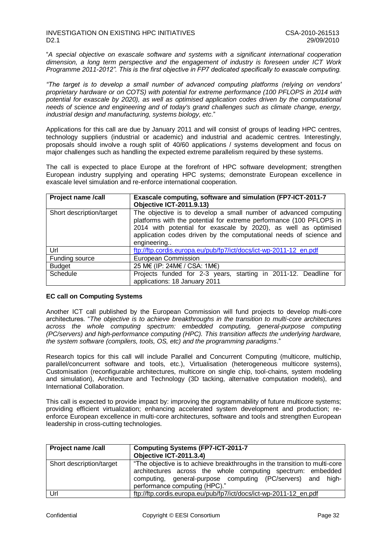"*A special objective on exascale software and systems with a significant international cooperation dimension, a long term perspective and the engagement of industry is foreseen under ICT Work Programme 2011-2012". This is the first objective in FP7 dedicated specifically to exascale computing.* 

*"The target is to develop a small number of advanced computing platforms (relying on vendors' proprietary hardware or on COTS) with potential for extreme performance (100 PFLOPS in 2014 with potential for exascale by 2020), as well as optimised application codes driven by the computational needs of science and engineering and of today's grand challenges such as climate change, energy, industrial design and manufacturing, systems biology, etc*."

Applications for this call are due by January 2011 and will consist of groups of leading HPC centres, technology suppliers (industrial or academic) and industrial and academic centres. Interestingly, proposals should involve a rough split of 40/60 applications / systems development and focus on major challenges such as handling the expected extreme parallelism required by these systems.

The call is expected to place Europe at the forefront of HPC software development; strengthen European industry supplying and operating HPC systems; demonstrate European excellence in exascale level simulation and re-enforce international cooperation.

| Project name /call       | Exascale computing, software and simulation (FP7-ICT-2011-7<br><b>Objective ICT-2011.9.13)</b>                                                                                                                                                                                                  |
|--------------------------|-------------------------------------------------------------------------------------------------------------------------------------------------------------------------------------------------------------------------------------------------------------------------------------------------|
| Short description/target | The objective is to develop a small number of advanced computing<br>platforms with the potential for extreme performance (100 PFLOPS in<br>2014 with potential for exascale by 2020), as well as optimised<br>application codes driven by the computational needs of science and<br>engineering |
| Url                      | ftp://ftp.cordis.europa.eu/pub/fp7/ict/docs/ict-wp-2011-12 en.pdf                                                                                                                                                                                                                               |
| Funding source           | European Commission                                                                                                                                                                                                                                                                             |
| <b>Budget</b>            | 25 M€ (IP: 24M€ / CSA: 1M€)                                                                                                                                                                                                                                                                     |
| Schedule                 | Projects funded for 2-3 years, starting in 2011-12. Deadline for<br>applications: 18 January 2011                                                                                                                                                                                               |

#### **EC call on Computing Systems**

Another ICT call published by the European Commission will fund projects to develop multi-core architectures. "*The objective is to achieve breakthroughs in the transition to multi-core architectures across the whole computing spectrum: embedded computing, general-purpose computing (PC/servers) and high-performance computing (HPC). This transition affects the underlying hardware, the system software (compilers, tools, OS, etc) and the programming paradigms*."

Research topics for this call will include Parallel and Concurrent Computing (multicore, multichip, parallel/concurrent software and tools, etc.), Virtualisation (heterogeneous multicore systems), Customisation (reconfigurable architectures, multicore on single chip, tool-chains, system modeling and simulation), Architecture and Technology (3D tacking, alternative computation models), and International Collaboration.

This call is expected to provide impact by: improving the programmability of future multicore systems; providing efficient virtualization; enhancing accelerated system development and production; reenforce European excellence in multi-core architectures, software and tools and strengthen European leadership in cross-cutting technologies.

| <b>Project name /call</b> | <b>Computing Systems (FP7-ICT-2011-7)</b><br>Objective ICT-2011.3.4)                                                                                                                                                                      |
|---------------------------|-------------------------------------------------------------------------------------------------------------------------------------------------------------------------------------------------------------------------------------------|
| Short description/target  | "The objective is to achieve breakthroughs in the transition to multi-core<br>architectures across the whole computing spectrum: embedded<br>computing, general-purpose computing (PC/servers) and high-<br>performance computing (HPC)." |
| Url                       | ftp://ftp.cordis.europa.eu/pub/fp7/ict/docs/ict-wp-2011-12 en.pdf                                                                                                                                                                         |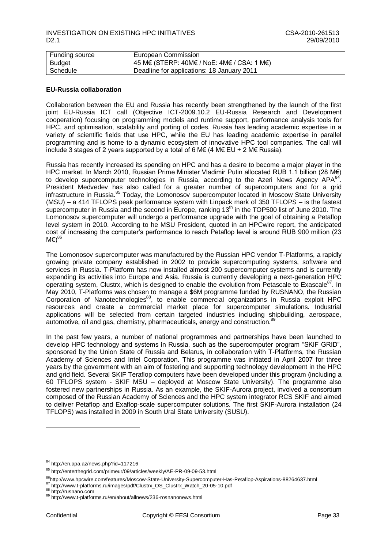| Funding source | European Commission                        |
|----------------|--------------------------------------------|
| <b>Budget</b>  | 45 M€ (STERP: 40M€ / NoE: 4M€ / CSA: 1 M€) |
| Schedule       | Deadline for applications: 18 January 2011 |

#### **EU-Russia collaboration**

Collaboration between the EU and Russia has recently been strengthened by the launch of the first joint EU-Russia ICT call (Objective ICT-2009.10.2 EU-Russia Research and Development cooperation) focusing on programming models and runtime support, performance analysis tools for HPC, and optimisation, scalability and porting of codes. Russia has leading academic expertise in a variety of scientific fields that use HPC, while the EU has leading academic expertise in parallel programming and is home to a dynamic ecosystem of innovative HPC tool companies. The call will include 3 stages of 2 years supported by a total of 6 M $\in$  (4 M $\in$  EU + 2 M $\in$  Russia).

Russia has recently increased its spending on HPC and has a desire to become a major player in the HPC market. In March 2010, Russian Prime Minister Vladimir Putin allocated RUB 1.1 billion (28 M€) to develop supercomputer technologies in Russia, according to the Azeri News Agency APA<sup>84</sup>. President Medvedev has also called for a greater number of supercomputers and for a grid infrastructure in Russia.<sup>85</sup> Today, the Lomonosov supercomputer located in Moscow State University (MSU) – a 414 TFLOPS peak performance system with Linpack mark of 350 TFLOPS – is the fastest supercomputer in Russia and the second in Europe, ranking 13<sup>th</sup> in the TOP500 list of June 2010. The Lomonosov supercomputer will undergo a performance upgrade with the goal of obtaining a Petaflop level system in 2010. According to he MSU President, quoted in an HPCwire report, the anticipated cost of increasing the computer"s performance to reach Petaflop level is around RUB 900 million (23  $M\in \rangle^8$ 

The Lomonosov supercomputer was manufactured by the Russian HPC vendor T-Platforms, a rapidly growing private company established in 2002 to provide supercomputing systems, software and services in Russia. T-Platform has now installed almost 200 supercomputer systems and is currently expanding its activities into Europe and Asia. Russia is currently developing a next-generation HPC operating system, Clustrx, which is designed to enable the evolution from Petascale to Exascale<sup>87</sup>. In May 2010, T-Platforms was chosen to manage a \$6M programme funded by RUSNANO, the Russian Corporation of Nanotechnologies<sup>88</sup>, to enable commercial organizations in Russia exploit HPC resources and create a commercial market place for supercomputer simulations. Industrial applications will be selected from certain targeted industries including shipbuilding, aerospace, automotive, oil and gas, chemistry, pharmaceuticals, energy and construction.<sup>8</sup>

In the past few years, a number of national programmes and partnerships have been launched to develop HPC technology and systems in Russia, such as the supercomputer program "SKIF GRID", sponsored by the Union State of Russia and Belarus, in collaboration with T-Platforms, the Russian Academy of Sciences and Intel Corporation. This programme was initiated in April 2007 for three years by the government with an aim of fostering and supporting technology development in the HPC and grid field. Several SKIF Teraflop computers have been developed under this program (including a 60 TFLOPS system - SKIF MSU – deployed at Moscow State University). The programme also fostered new partnerships in Russia. As an example, the SKIF-Aurora project, involved a consortium composed of the Russian Academy of Sciences and the HPC system integrator RCS SKIF and aimed to deliver Petaflop and Exaflop-scale supercomputer solutions. The first SKIF-Aurora installation (24 TFLOPS) was installed in 2009 in South Ural State University (SUSU).

<sup>84</sup> http://en.apa.az/news.php?id=117216

<sup>85</sup> http://enterthegrid.com/primeur/09/articles/weekly/AE-PR-09-09-53.html

<sup>86</sup>http://www.hpcwire.com/features/Moscow-State-University-Supercomputer-Has-Petaflop-Aspirations-88264637.html

<sup>87</sup> http://www.t-platforms.ru/images/pdf/Clustrx\_OS\_Clustrx\_Watch\_20-05-10.pdf

<sup>88</sup> http://rusnano.com

<sup>89</sup> http://www.t-platforms.ru/en/about/allnews/236-rosnanonews.html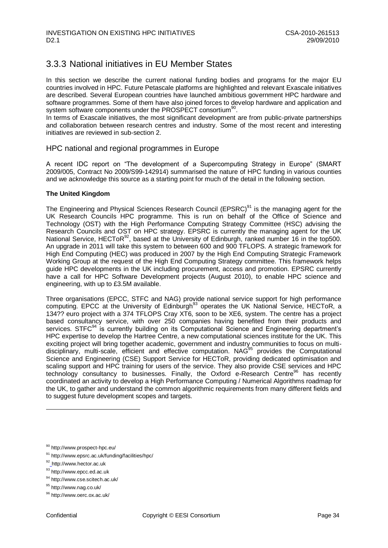## <span id="page-34-0"></span>3.3.3 National initiatives in EU Member States

In this section we describe the current national funding bodies and programs for the major EU countries involved in HPC. Future Petascale platforms are highlighted and relevant Exascale initiatives are described. Several European countries have launched ambitious government HPC hardware and software programmes. Some of them have also joined forces to develop hardware and application and system software components under the PROSPECT consortium<sup>90</sup>.

In terms of Exascale initiatives, the most significant development are from public-private partnerships and collaboration between research centres and industry. Some of the most recent and interesting initiatives are reviewed in sub-section 2.

### HPC national and regional programmes in Europe

A recent IDC report on "The development of a Supercomputing Strategy in Europe" (SMART 2009/005, Contract No 2009/S99-142914) summarised the nature of HPC funding in various counties and we acknowledge this source as a starting point for much of the detail in the following section.

### **The United Kingdom**

The Engineering and Physical Sciences Research Council (EPSRC)<sup>91</sup> is the managing agent for the UK Research Councils HPC programme. This is run on behalf of the Office of Science and Technology (OST) with the High Performance Computing Strategy Committee (HSC) advising the Research Councils and OST on HPC strategy. EPSRC is currently the managing agent for the UK National Service, HECToR<sup>92</sup>, based at the University of Edinburgh, ranked number 16 in the top500. An upgrade in 2011 will take this system to between 600 and 900 TFLOPS. A strategic framework for High End Computing (HEC) was produced in 2007 by the High End Computing Strategic Framework Working Group at the request of the High End Computing Strategy committee. This framework helps guide HPC developments in the UK including procurement, access and promotion. EPSRC currently have a call for HPC Software Development projects (August 2010), to enable HPC science and engineering, with up to £3.5M available.

Three organisations (EPCC, STFC and NAG) provide national service support for high performance computing. EPCC at the University of Edinburgh<sup>93</sup> operates the UK National Service, HECToR, a 134?? euro project with a 374 TFLOPS Cray XT6, soon to be XE6, system. The centre has a project based consultancy service, with over 250 companies having benefited from their products and services. STFC<sup>94</sup> is currently building on its Computational Science and Engineering department's HPC expertise to develop the Hartree Centre, a new computational sciences institute for the UK. This exciting project will bring together academic, government and industry communities to focus on multidisciplinary, multi-scale, efficient and effective computation. NAG<sup>95</sup> provides the Computational Science and Engineering (CSE) Support Service for HECToR, providing dedicated optimisation and scaling support and HPC training for users of the service. They also provide CSE services and HPC technology consultancy to businesses. Finally, the Oxford e-Research Centre<sup>96</sup> has recently coordinated an activity to develop a High Performance Computing / Numerical Algorithms roadmap for the UK, to gather and understand the common algorithmic requirements from many different fields and to suggest future development scopes and targets.

<sup>90</sup> http://www.prospect-hpc.eu/

<sup>91</sup> <http://www.epsrc.ac.uk/funding/facilities/hpc/>

<sup>92</sup> http:[//www.hector.ac.uk](http://www.hector.ac.uk/)

<sup>93</sup> http:[//www.epcc.ed.ac.uk](http://www.epcc.ed.ac.uk/)

<sup>94</sup> <http://www.cse.scitech.ac.uk/>

<sup>95</sup> <http://www.nag.co.uk/>

<sup>96</sup> http://www.oerc.ox.ac.uk/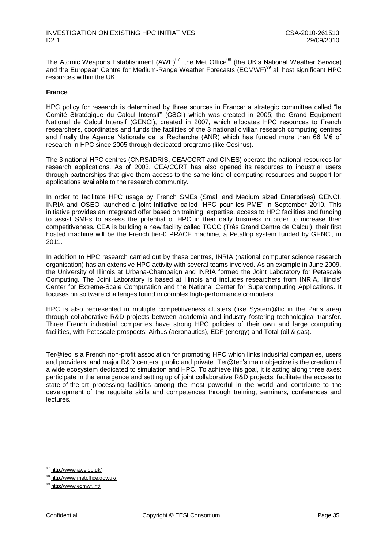The Atomic Weapons Establishment (AWE)<sup>97</sup>, the Met Office<sup>98</sup> (the UK's National Weather Service) and the European Centre for Medium-Range Weather Forecasts (ECMWF)<sup>99</sup> all host significant HPC resources within the UK.

### **France**

HPC policy for research is determined by three sources in France: a strategic committee called "le Comité Stratégique du Calcul Intensif" (CSCI) which was created in 2005; the Grand Equipment National de Calcul Intensif (GENCI), created in 2007, which allocates HPC resources to French researchers, coordinates and funds the facilities of the 3 national civilian research computing centres and finally the Agence Nationale de la Recherche (ANR) which has funded more than 66 M€ of research in HPC since 2005 through dedicated programs (like Cosinus).

The 3 national HPC centres (CNRS/IDRIS, CEA/CCRT and CINES) operate the national resources for research applications. As of 2003, CEA/CCRT has also opened its resources to industrial users through partnerships that give them access to the same kind of computing resources and support for applications available to the research community.

In order to facilitate HPC usage by French SMEs (Small and Medium sized Enterprises) GENCI, INRIA and OSEO launched a joint initiative called "HPC pour les PME" in September 2010. This initiative provides an integrated offer based on training, expertise, access to HPC facilities and funding to assist SMEs to assess the potential of HPC in their daily business in order to increase their competitiveness. CEA is building a new facility called TGCC (Très Grand Centre de Calcul), their first hosted machine will be the French tier-0 PRACE machine, a Petaflop system funded by GENCI, in 2011.

In addition to HPC research carried out by these centres, INRIA (national computer science research organisation) has an extensive HPC activity with several teams involved. As an example in June 2009, the [University of Illinois at Urbana-Champaign](http://illinois.edu/) and [INRIA](http://www.inria.fr/index.en.html) formed the Joint Laboratory for Petascale Computing. The Joint Laboratory is based at Illinois and includes researchers from INRIA, Illinois' [Center for Extreme-Scale Computation](http://iacat.uiuc.edu/themes/) and the [National Center for Supercomputing Applications.](http://www.ncsa.uiuc.edu/) It focuses on software challenges found in complex high-performance computers.

HPC is also represented in multiple competitiveness clusters (like System@tic in the Paris area) through collaborative R&D projects between academia and industry fostering technological transfer. Three French industrial companies have strong HPC policies of their own and large computing facilities, with Petascale prospects: Airbus (aeronautics), EDF (energy) and Total (oil & gas).

[Ter@tec](mailto:Ter@tec/oblocked::mailto:Ter@tec) is a French non-profit association for promoting HPC which links industrial companies, users and providers, and major R&D centers, public and private. Ter@tec"s main objective is the creation of a wide ecosystem dedicated to simulation and HPC. To achieve this goal, it is acting along three axes: participate in the emergence and setting up of joint collaborative R&D projects, facilitate the access to state-of-the-art processing facilities among the most powerful in the world and contribute to the development of the requisite skills and competences through training, seminars, conferences and lectures.

<sup>97</sup> <http://www.awe.co.uk/>

<sup>98</sup> <http://www.metoffice.gov.uk/>

<sup>99</sup> <http://www.ecmwf.int/>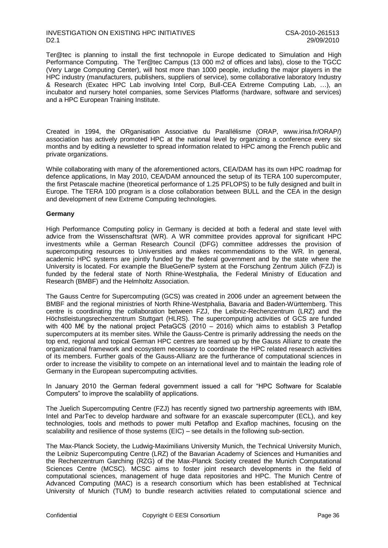### INVESTIGATION ON EXISTING HPC INITIATIVES<br>D2.1 29/09/2010 D2.1 29/09/2010

Ter@tec is planning to install the first technopole in Europe dedicated to Simulation and High Performance Computing. The [Ter@tec](mailto:Ter@tec/oblocked::mailto:Ter@tec) Campus (13 000 m2 of offices and labs), close to the TGCC (Very Large Computing Center), will host more than 1000 people, including the major players in the HPC industry (manufacturers, publishers, suppliers of service), some collaborative laboratory Industry & Research (Exatec HPC Lab involving Intel Corp, Bull-CEA Extreme Computing Lab, …), an incubator and nursery hotel companies, some Services Platforms (hardware, software and services) and a HPC European Training Institute.

Created in 1994, the ORganisation Associative du Parallélisme (ORAP, www.irisa.fr/ORAP/) association has actively promoted HPC at the national level by organizing a conference every six months and by editing a newsletter to spread information related to HPC among the French public and private organizations.

While collaborating with many of the aforementioned actors, CEA/DAM has its own HPC roadmap for defence applications, In May 2010, CEA/DAM announced the setup of its TERA 100 supercomputer, the first Petascale machine (theoretical performance of 1.25 PFLOPS) to be fully designed and built in Europe. The TERA 100 program is a close collaboration between BULL and the CEA in the design and development of new Extreme Computing technologies.

### **Germany**

High Performance Computing policy in Germany is decided at both a federal and state level with advice from the Wissenschaftsrat (WR). A WR committee provides approval for significant HPC investments while a German Research Council (DFG) committee addresses the provision of supercomputing resources to Universities and makes recommendations to the WR. In general, academic HPC systems are jointly funded by the federal government and by the state where the University is located. For example the BlueGene/P system at the Forschung Zentrum Jülich (FZJ) is funded by the federal state of North Rhine-Westphalia, the Federal Ministry of Education and Research (BMBF) and the Helmholtz Association.

The Gauss Centre for Supercomputing (GCS) was created in 2006 under an agreement between the BMBF and the regional ministries of North Rhine-Westphalia, Bavaria and Baden-Württemberg. This centre is coordinating the collaboration between FZJ, the Leibniz-Rechenzentrum (LRZ) and the Höchstleistungsrechenzentrum Stuttgart (HLRS). The supercomputing activities of GCS are funded with 400 M€ by the national project PetaGCS (2010 – 2016) which aims to establish 3 Petaflop supercomputers at its member sites. While the Gauss-Centre is primarily addressing the needs on the top end, regional and topical German HPC centres are teamed up by the Gauss Allianz to create the organizational framework and ecosystem necessary to coordinate the HPC related research activities of its members. Further goals of the Gauss-Allianz are the furtherance of computational sciences in order to increase the visibility to compete on an international level and to maintain the leading role of Germany in the European supercomputing activities.

In January 2010 the German federal government issued a call for "HPC Software for Scalable Computers" to improve the scalability of applications.

The Juelich Supercomputing Centre (FZJ) has recently signed two partnership agreements with IBM, Intel and ParTec to develop hardware and software for an exascale supercomputer (ECL), and key technologies, tools and methods to power multi Petaflop and Exaflop machines, focusing on the scalability and resilience of those systems (EIC) – see details in the following sub-section.

The Max-Planck Society, the Ludwig-Maximilians University Munich, the Technical University Munich, the Leibniz Supercomputing Centre (LRZ) of the Bavarian Academy of Sciences and Humanities and the Rechenzentrum Garching (RZG) of the Max-Planck Society created the Munich Computational Sciences Centre (MCSC). MCSC aims to foster joint research developments in the field of computational sciences, management of huge data repositories and HPC. The Munich Centre of Advanced Computing (MAC) is a research consortium which has been established at Technical University of Munich (TUM) to bundle research activities related to computational science and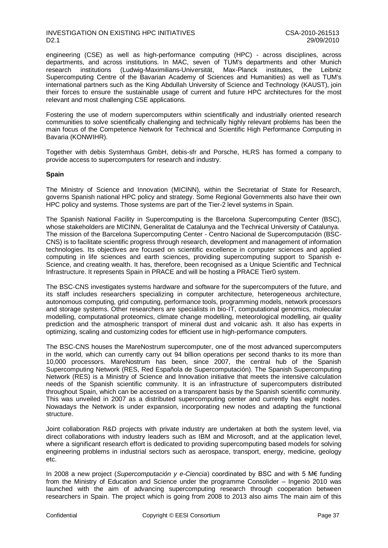### INVESTIGATION ON EXISTING HPC INITIATIVES<br>D2.1 29/09/2010 D2.1 29/09/2010

engineering (CSE) as well as high-performance computing (HPC) - across disciplines, across departments, and across institutions. In MAC, seven of TUM's departments and other Munich<br>research institutions (Ludwig-Maximilians-Universität, Max-Planck institutes, the Leibniz research institutions (Ludwig-Maximilians-Universität, Max-Planck institutes, Supercomputing Centre of the Bavarian Academy of Sciences and Humanities) as well as TUM's international partners such as the King Abdullah University of Science and Technology (KAUST), join their forces to ensure the sustainable usage of current and future HPC architectures for the most relevant and most challenging CSE applications.

Fostering the use of modern supercomputers within scientifically and industrially oriented research communities to solve scientifically challenging and technically highly relevant problems has been the main focus of the Competence Network for Technical and Scientific High Performance Computing in Bavaria (KONWIHR).

Together with debis Systemhaus GmbH, debis-sfr and Porsche, HLRS has formed a company to provide access to supercomputers for research and industry.

#### **Spain**

The Ministry of Science and Innovation (MICINN), within the Secretariat of State for Research, governs Spanish national HPC policy and strategy. Some Regional Governments also have their own HPC policy and systems. Those systems are part of the Tier-2 level systems in Spain.

The Spanish National Facility in Supercomputing is the Barcelona Supercomputing Center (BSC), whose stakeholders are MICINN, Generalitat de Catalunya and the Technical University of Catalunya. The mission of the Barcelona Supercomputing Center - Centro Nacional de Supercomputación (BSC-CNS) is to facilitate scientific progress through research, development and management of information technologies. Its objectives are focused on scientific excellence in computer sciences and applied computing in life sciences and earth sciences, providing supercomputing support to Spanish e-Science, and creating wealth. It has, therefore, been recognised as a Unique Scientific and Technical Infrastructure. It represents Spain in PRACE and will be hosting a PRACE Tier0 system.

The BSC-CNS investigates systems hardware and software for the supercomputers of the future, and its staff includes researchers specializing in computer architecture, heterogeneous architecture, autonomous computing, grid computing, performance tools, programming models, network processors and storage systems. Other researchers are specialists in bio-IT, computational genomics, molecular modelling, computational proteomics, climate change modelling, meteorological modelling, air quality prediction and the atmospheric transport of mineral dust and volcanic ash. It also has experts in optimizing, scaling and customizing codes for efficient use in high-performance computers.

The BSC-CNS houses the MareNostrum supercomputer, one of the most advanced supercomputers in the world, which can currently carry out 94 billion operations per second thanks to its more than 10,000 processors. MareNostrum has been, since 2007, the central hub of the Spanish Supercomputing Network (RES, Red Española de Supercomputación). The Spanish Supercomputing Network (RES) is a Ministry of Science and Innovation initiative that meets the intensive calculation needs of the Spanish scientific community. It is an infrastructure of supercomputers distributed throughout Spain, which can be accessed on a transparent basis by the Spanish scientific community. This was unveiled in 2007 as a distributed supercomputing center and currently has eight nodes. Nowadays the Network is under expansion, incorporating new nodes and adapting the functional structure.

Joint collaboration R&D projects with private industry are undertaken at both the system level, via direct collaborations with industry leaders such as IBM and Microsoft, and at the application level, where a significant research effort is dedicated to providing supercomputing based models for solving engineering problems in industrial sectors such as aerospace, transport, energy, medicine, geology etc.

In 2008 a new project (*Supercomputación y e-Ciencia*) coordinated by BSC and with 5 M€ funding from the Ministry of Education and Science under the programme Consolider – Ingenio 2010 was launched with the aim of advancing supercomputing research through cooperation between researchers in Spain. The project which is going from 2008 to 2013 also aims The main aim of this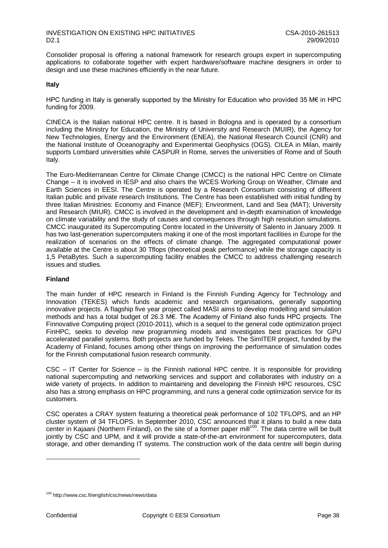Consolider proposal is offering a national framework for research groups expert in supercomputing applications to collaborate together with expert hardware/software machine designers in order to design and use these machines efficiently in the near future.

### **Italy**

HPC funding in Italy is generally supported by the Ministry for Education who provided 35 M€ in HPC funding for 2009.

CINECA is the Italian national HPC centre. It is based in Bologna and is operated by a consortium including the Ministry for Education, the Ministry of University and Research (MUIR), the Agency for New Technologies, Energy and the Environment (ENEA), the National Research Council (CNR) and the National Institute of Oceanography and Experimental Geophysics (OGS). CILEA in Milan, mainly supports Lombard universities while CASPUR in Rome, serves the universities of Rome and of South Italy.

The Euro-Mediterranean Centre for Climate Change (CMCC) is the national HPC Centre on Climate Change – it is involved in IESP and also chairs the WCES Working Group on Weather, Climate and Earth Sciences in EESI. The Centre is operated by a Research Consortium consisting of different Italian public and private research Institutions. The Centre has been established with initial funding by three Italian Ministries: Economy and Finance (MEF); Environment, Land and Sea (MAT); University and Research (MIUR). CMCC is involved in the development and in-depth examination of knowledge on climate variability and the study of causes and consequences through high resolution simulations. CMCC inaugurated its Supercomputing Centre located in the University of Salento in January 2009. It has two last-generation supercomputers making it one of the most important facilities in Europe for the realization of scenarios on the effects of climate change. The aggregated computational power available at the Centre is about 30 Tflops (theoretical peak performance) while the storage capacity is 1,5 PetaBytes. Such a supercomputing facility enables the CMCC to address challenging research issues and studies.

### **Finland**

The main funder of HPC research in Finland is the Finnish Funding Agency for Technology and Innovation (TEKES) which funds academic and research organisations, generally supporting innovative projects. A flagship five year project called MASI aims to develop modelling and simulation methods and has a total budget of 26.3 M€. The Academy of Finland also funds HPC projects. The Finnovative Computing project (2010-2011), which is a sequel to the general code optimization project FinHPC, seeks to develop new programming models and investigates best practices for GPU accelerated parallel systems. Both projects are funded by Tekes. The SimITER project, funded by the Academy of Finland, focuses among other things on improving the performance of simulation codes for the Finnish computational fusion research community.

CSC – IT Center for Science – is the Finnish national HPC centre. It is responsible for providing national supercomputing and networking services and support and collaborates with industry on a wide variety of projects. In addition to maintaining and developing the Finnish HPC resources, CSC also has a strong emphasis on HPC programming, and runs a general code optimization service for its customers.

CSC operates a CRAY system featuring a theoretical peak performance of 102 TFLOPS, and an HP cluster system of 34 TFLOPS. In September 2010, CSC announced that it plans to build a new data center in Kajaani (Northern Finland), on the site of a former paper mill<sup>100</sup>. The data centre will be built jointly by CSC and UPM, and it will provide a state-of-the-art environment for supercomputers, data storage, and other demanding IT systems. The construction work of the data centre will begin during

<sup>100</sup> http://www.csc.fi/english/csc/news/news/data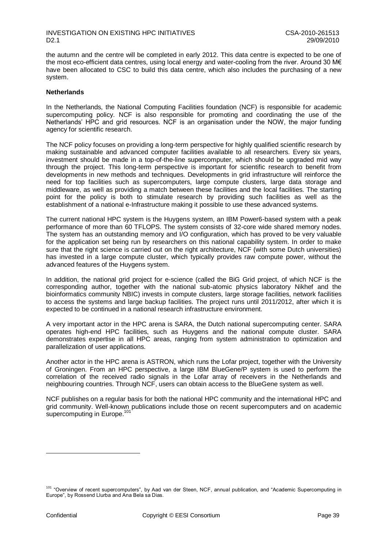the autumn and the centre will be completed in early 2012. This data centre is expected to be one of the most eco-efficient data centres, using local energy and water-cooling from the river. Around 30 M€ have been allocated to CSC to build this data centre, which also includes the purchasing of a new system.

#### **Netherlands**

In the Netherlands, the National Computing Facilities foundation (NCF) is responsible for academic supercomputing policy. NCF is also responsible for promoting and coordinating the use of the Netherlands" HPC and grid resources. NCF is an organisation under the NOW, the major funding agency for scientific research.

The NCF policy focuses on providing a long-term perspective for highly qualified scientific research by making sustainable and advanced computer facilities available to all researchers. Every six years, investment should be made in a top-of-the-line supercomputer, which should be upgraded mid way through the project. This long-term perspective is important for scientific research to benefit from developments in new methods and techniques. Developments in grid infrastructure will reinforce the need for top facilities such as supercomputers, large compute clusters, large data storage and middleware, as well as providing a match between these facilities and the local facilities. The starting point for the policy is both to stimulate research by providing such facilities as well as the establishment of a national e-Infrastructure making it possible to use these advanced systems.

The current national HPC system is the Huygens system, an IBM Power6-based system with a peak performance of more than 60 TFLOPS. The system consists of 32-core wide shared memory nodes. The system has an outstanding memory and I/O configuration, which has proved to be very valuable for the application set being run by researchers on this national capability system. In order to make sure that the right science is carried out on the right architecture, NCF (with some Dutch universities) has invested in a large compute cluster, which typically provides raw compute power, without the advanced features of the Huygens system.

In addition, the national grid project for e-science (called the BiG Grid project, of which NCF is the corresponding author, together with the national sub-atomic physics laboratory Nikhef and the bioinformatics community NBIC) invests in compute clusters, large storage facilities, network facilities to access the systems and large backup facilities. The project runs until 2011/2012, after which it is expected to be continued in a national research infrastructure environment.

A very important actor in the HPC arena is SARA, the Dutch national supercomputing center. SARA operates high-end HPC facilities, such as Huygens and the national compute cluster. SARA demonstrates expertise in all HPC areas, ranging from system administration to optimization and parallelization of user applications.

Another actor in the HPC arena is ASTRON, which runs the Lofar project, together with the University of Groningen. From an HPC perspective, a large IBM BlueGene/P system is used to perform the correlation of the received radio signals in the Lofar array of receivers in the Netherlands and neighbouring countries. Through NCF, users can obtain access to the BlueGene system as well.

NCF publishes on a regular basis for both the national HPC community and the international HPC and grid community. Well-known publications include those on recent supercomputers and on academic supercomputing in Europe.<sup>101</sup>

<sup>&</sup>lt;sup>101</sup> "Overview of recent supercomputers", by Aad van der Steen, NCF, annual publication, and "Academic Supercomputing in Europe", by Rossend Llurba and Ana Bela sa Dias.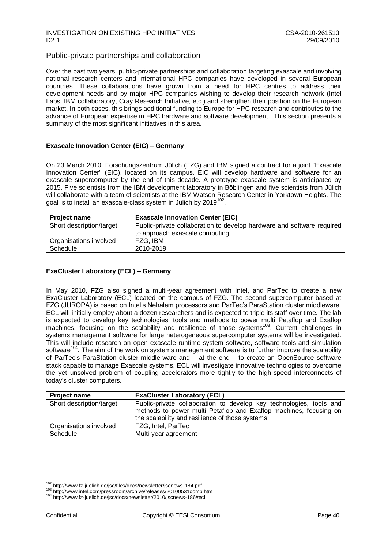### INVESTIGATION ON EXISTING HPC INITIATIVES<br>D2.1 29/09/2010 D2.1 29/09/2010

### Public-private partnerships and collaboration

Over the past two years, public-private partnerships and collaboration targeting exascale and involving national research centers and international HPC companies have developed in several European countries. These collaborations have grown from a need for HPC centres to address their development needs and by major HPC companies wishing to develop their research network (Intel Labs, IBM collaboratory, Cray Research Initiative, etc.) and strengthen their position on the European market. In both cases, this brings additional funding to Europe for HPC research and contributes to the advance of European expertise in HPC hardware and software development. This section presents a summary of the most significant initiatives in this area.

### **Exascale Innovation Center (EIC) – Germany**

On 23 March 2010, Forschungszentrum Jülich (FZG) and IBM signed a contract for a joint "Exascale Innovation Center" (EIC), located on its campus. EIC will develop hardware and software for an exascale supercomputer by the end of this decade. A prototype exascale system is anticipated by 2015. Five scientists from the IBM development laboratory in Böblingen and five scientists from Jülich will collaborate with a team of scientists at the IBM Watson Research Center in Yorktown Heights. The goal is to install an exascale-class system in Jülich by 2019 $^{102}$ .

| <b>Project name</b>      | <b>Exascale Innovation Center (EIC)</b>                                |
|--------------------------|------------------------------------------------------------------------|
| Short description/target | Public-private collaboration to develop hardware and software required |
|                          | to approach exascale computing                                         |
| Organisations involved   | FZG, IBM                                                               |
| Schedule                 | 2010-2019                                                              |

### **ExaCluster Laboratory (ECL) – Germany**

In May 2010, FZG also signed a multi-year agreement with Intel, and ParTec to create a new ExaCluster Laboratory (ECL) located on the campus of FZG. The second supercomputer based at FZG (JUROPA) is based on Intel"s Nehalem processors and ParTec"s ParaStation cluster middleware. ECL will initially employ about a dozen researchers and is expected to triple its staff over time. The lab is expected to develop key technologies, tools and methods to power multi Petaflop and Exaflop machines, focusing on the scalability and resilience of those systems<sup>103</sup>. Current challenges in systems management software for large heterogeneous supercomputer systems will be investigated. This will include research on open exascale runtime system software, software tools and simulation software<sup>104</sup>. The aim of the work on systems management software is to further improve the scalability of ParTec's ParaStation cluster middle-ware and – at the end – to create an OpenSource software stack capable to manage Exascale systems. ECL will investigate innovative technologies to overcome the yet unsolved problem of coupling accelerators more tightly to the high-speed interconnects of today's cluster computers.

| <b>Project name</b>      | <b>ExaCluster Laboratory (ECL)</b>                                                                                                                                                          |
|--------------------------|---------------------------------------------------------------------------------------------------------------------------------------------------------------------------------------------|
| Short description/target | Public-private collaboration to develop key technologies, tools and<br>methods to power multi Petaflop and Exaflop machines, focusing on<br>the scalability and resilience of those systems |
| Organisations involved   | FZG, Intel, ParTec                                                                                                                                                                          |
| Schedule                 | Multi-year agreement                                                                                                                                                                        |

<sup>102</sup> http://www.fz-juelich.de/jsc/files/docs/newsletter/jscnews-184.pdf

<sup>103</sup> http://www.intel.com/pressroom/archive/releases/20100531comp.htm

<sup>104</sup> http://www.fz-juelich.de/jsc/docs/newsletter/2010/jscnews-186#ecl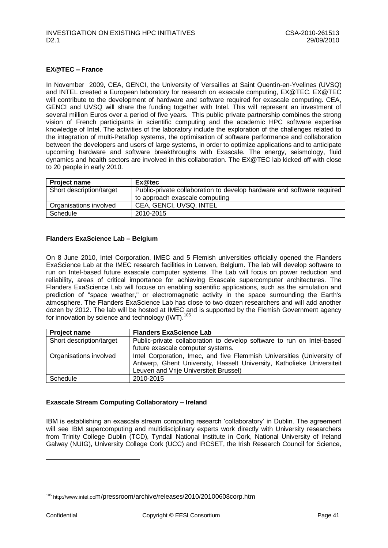### **EX@TEC – France**

In November 2009, CEA, GENCI, the University of Versailles at Saint Quentin-en-Yvelines (UVSQ) and INTEL created a European laboratory for research on exascale computing, EX@TEC. EX@TEC will contribute to the development of hardware and software required for exascale computing. CEA, GENCI and UVSQ will share the funding together with Intel. This will represent an investment of several million Euros over a period of five years. This public private partnership combines the strong vision of French participants in scientific computing and the academic HPC software expertise knowledge of Intel. The activities of the laboratory include the exploration of the challenges related to the integration of multi-Petaflop systems, the optimisation of software performance and collaboration between the developers and users of large systems, in order to optimize applications and to anticipate upcoming hardware and software breakthroughs with Exascale. The energy, seismology, fluid dynamics and health sectors are involved in this collaboration. The EX@TEC lab kicked off with close to 20 people in early 2010.

| <b>Project name</b>      | Ex@tec                                                                 |
|--------------------------|------------------------------------------------------------------------|
| Short description/target | Public-private collaboration to develop hardware and software required |
|                          | to approach exascale computing                                         |
| Organisations involved   | CEA, GENCI, UVSQ, INTEL                                                |
| Schedule                 | 2010-2015                                                              |

#### **Flanders ExaScience Lab – Belgium**

On 8 June 2010, Intel Corporation, IMEC and 5 Flemish universities officially opened the Flanders ExaScience Lab at the IMEC research facilities in Leuven, Belgium. The lab will develop software to run on Intel-based future exascale computer systems. The Lab will focus on power reduction and reliability, areas of critical importance for achieving Exascale supercomputer architectures. The Flanders ExaScience Lab will focuse on enabling scientific applications, such as the simulation and prediction of "space weather," or electromagnetic activity in the space surrounding the Earth's atmosphere. The Flanders ExaScience Lab has close to two dozen researchers and will add another dozen by 2012. The lab will be hosted at IMEC and is supported by the Flemish Government agency for innovation by science and technology (IWT). $105$ 

| <b>Project name</b>      | <b>Flanders ExaScience Lab</b>                                                                                                                                                             |
|--------------------------|--------------------------------------------------------------------------------------------------------------------------------------------------------------------------------------------|
| Short description/target | Public-private collaboration to develop software to run on Intel-based                                                                                                                     |
|                          | future exascale computer systems.                                                                                                                                                          |
| Organisations involved   | Intel Corporation, Imec, and five Flemmish Universities (University of<br>Antwerp, Ghent University, Hasselt University, Katholieke Universiteit<br>Leuven and Vrije Universiteit Brussel) |
| Schedule                 | 2010-2015                                                                                                                                                                                  |

#### **Exascale Stream Computing Collaboratory – Ireland**

IBM is establishing an exascale stream computing research "collaboratory" in Dublin. The agreement will see IBM supercomputing and multidisciplinary experts work directly with University researchers from Trinity College Dublin (TCD), Tyndall National Institute in Cork, National University of Ireland Galway (NUIG), University College Cork (UCC) and IRCSET, the Irish Research Council for Science,

-

<sup>105</sup> http://www.intel.com/pressroom/archive/releases/2010/20100608corp.htm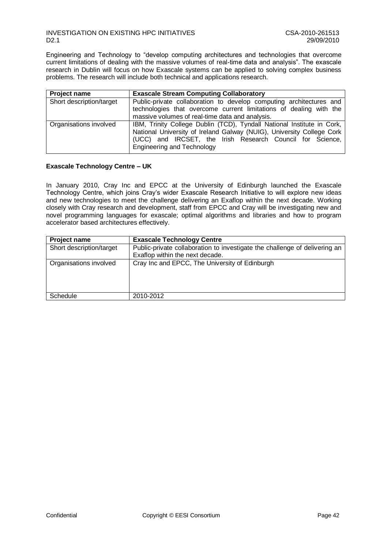### INVESTIGATION ON EXISTING HPC INITIATIVES<br>D2.1 29/09/2010 D2.1 29/09/2010

Engineering and Technology to "develop computing architectures and technologies that overcome current limitations of dealing with the massive volumes of real-time data and analysis". The exascale research in Dublin will focus on how Exascale systems can be applied to solving complex business problems. The research will include both technical and applications research.

| <b>Project name</b>      | <b>Exascale Stream Computing Collaboratory</b>                                                                                                                                                                                                    |
|--------------------------|---------------------------------------------------------------------------------------------------------------------------------------------------------------------------------------------------------------------------------------------------|
| Short description/target | Public-private collaboration to develop computing architectures and<br>technologies that overcome current limitations of dealing with the<br>massive volumes of real-time data and analysis.                                                      |
| Organisations involved   | IBM, Trinity College Dublin (TCD), Tyndall National Institute in Cork,<br>National University of Ireland Galway (NUIG), University College Cork<br>(UCC) and IRCSET, the Irish Research Council for Science,<br><b>Engineering and Technology</b> |

### **Exascale Technology Centre – UK**

In January 2010, Cray Inc and EPCC at the University of Edinburgh launched the Exascale Technology Centre, which joins Cray"s wider Exascale Research Initiative to will explore new ideas and new technologies to meet the challenge delivering an Exaflop within the next decade. Working closely with Cray research and development, staff from EPCC and Cray will be investigating new and novel programming languages for exascale; optimal algorithms and libraries and how to program accelerator based architectures effectively.

| Project name             | <b>Exascale Technology Centre</b>                                                                             |
|--------------------------|---------------------------------------------------------------------------------------------------------------|
| Short description/target | Public-private collaboration to investigate the challenge of delivering an<br>Exaflop within the next decade. |
| Organisations involved   | Cray Inc and EPCC, The University of Edinburgh                                                                |
| Schedule                 | 2010-2012                                                                                                     |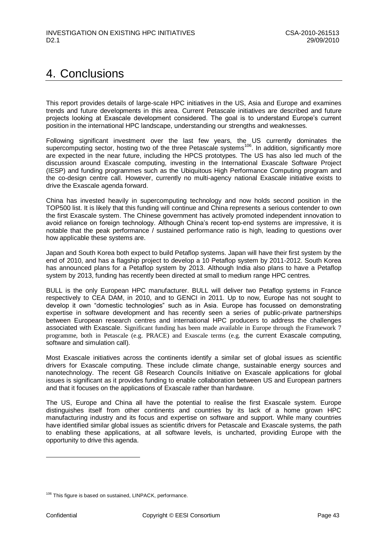## <span id="page-43-0"></span>4. Conclusions

This report provides details of large-scale HPC initiatives in the US, Asia and Europe and examines trends and future developments in this area. Current Petascale initiatives are described and future projects looking at Exascale development considered. The goal is to understand Europe"s current position in the international HPC landscape, understanding our strengths and weaknesses.

Following significant investment over the last few years, the US currently dominates the supercomputing sector, hosting two of the three Petascale systems<sup>106</sup>. In addition, significantly more are expected in the near future, including the HPCS prototypes. The US has also led much of the discussion around Exascale computing, investing in the International Exascale Software Project (IESP) and funding programmes such as the Ubiquitous High Performance Computing program and the co-design centre call. However, currently no multi-agency national Exascale initiative exists to drive the Exascale agenda forward.

China has invested heavily in supercomputing technology and now holds second position in the TOP500 list. It is likely that this funding will continue and China represents a serious contender to own the first Exascale system. The Chinese government has actively promoted independent innovation to avoid reliance on foreign technology. Although China's recent top-end systems are impressive, it is notable that the peak performance / sustained performance ratio is high, leading to questions over how applicable these systems are.

Japan and South Korea both expect to build Petaflop systems. Japan will have their first system by the end of 2010, and has a flagship project to develop a 10 Petaflop system by 2011-2012. South Korea has announced plans for a Petaflop system by 2013. Although India also plans to have a Petaflop system by 2013, funding has recently been directed at small to medium range HPC centres.

BULL is the only European HPC manufacturer. BULL will deliver two Petaflop systems in France respectively to CEA DAM, in 2010, and to GENCI in 2011. Up to now, Europe has not sought to develop it own "domestic technologies" such as in Asia. Europe has focussed on demonstrating expertise in software development and has recently seen a series of public-private partnerships between European research centres and international HPC producers to address the challenges associated with Exascale. Significant funding has been made available in Europe through the Framework 7 programme, both in Petascale (e.g. PRACE) and Exascale terms (e.g. the current Exascale computing, software and simulation call).

Most Exascale initiatives across the continents identify a similar set of global issues as scientific drivers for Exascale computing. These include climate change, sustainable energy sources and nanotechnology. The recent G8 Research Councils Initiative on Exascale applications for global issues is significant as it provides funding to enable collaboration between US and European partners and that it focuses on the applications of Exascale rather than hardware.

The US, Europe and China all have the potential to realise the first Exascale system. Europe distinguishes itself from other continents and countries by its lack of a home grown HPC manufacturing industry and its focus and expertise on software and support. While many countries have identified similar global issues as scientific drivers for Petascale and Exascale systems, the path to enabling these applications, at all software levels, is uncharted, providing Europe with the opportunity to drive this agenda.

<sup>&</sup>lt;sup>106</sup> This figure is based on sustained, LINPACK, performance.